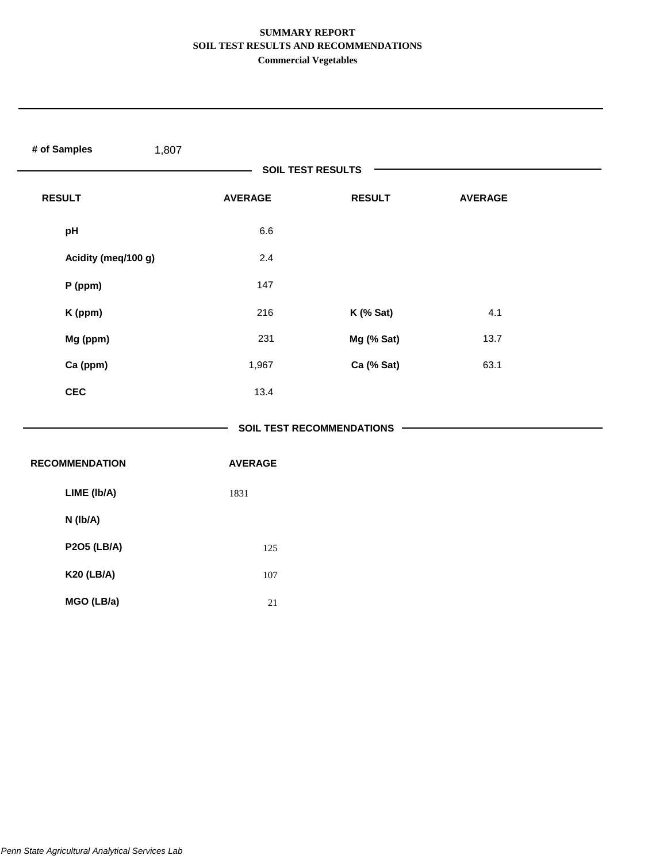| # of Samples<br>1,807 |                |                             |                |  |
|-----------------------|----------------|-----------------------------|----------------|--|
|                       |                | <b>SOIL TEST RESULTS</b>    |                |  |
| <b>RESULT</b>         | <b>AVERAGE</b> | <b>RESULT</b>               | <b>AVERAGE</b> |  |
| pH                    | 6.6            |                             |                |  |
| Acidity (meq/100 g)   | 2.4            |                             |                |  |
| P (ppm)               | 147            |                             |                |  |
| K (ppm)               | 216            | K (% Sat)                   | 4.1            |  |
| Mg (ppm)              | 231            | Mg (% Sat)                  | 13.7           |  |
| Ca (ppm)              | 1,967          | Ca (% Sat)                  | 63.1           |  |
| <b>CEC</b>            | 13.4           |                             |                |  |
|                       |                | SOIL TEST RECOMMENDATIONS - |                |  |
| <b>RECOMMENDATION</b> | <b>AVERAGE</b> |                             |                |  |
| LIME (Ib/A)           | 1831           |                             |                |  |
| N (Ib/A)              |                |                             |                |  |
| <b>P2O5 (LB/A)</b>    | 125            |                             |                |  |
| <b>K20 (LB/A)</b>     | 107            |                             |                |  |
| MGO (LB/a)            | $21\,$         |                             |                |  |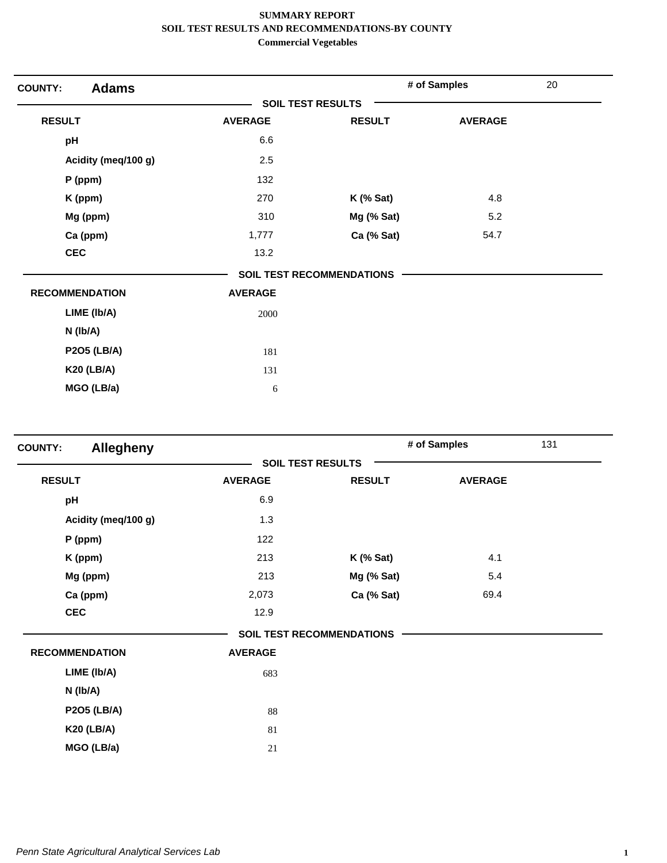| <b>Adams</b><br><b>COUNTY:</b> |                |                                  | # of Samples   | 20 |
|--------------------------------|----------------|----------------------------------|----------------|----|
|                                |                | <b>SOIL TEST RESULTS</b>         |                |    |
| <b>RESULT</b>                  | <b>AVERAGE</b> | <b>RESULT</b>                    | <b>AVERAGE</b> |    |
| pH                             | 6.6            |                                  |                |    |
| Acidity (meg/100 g)            | 2.5            |                                  |                |    |
| P (ppm)                        | 132            |                                  |                |    |
| K (ppm)                        | 270            | $K$ (% Sat)                      | 4.8            |    |
| Mg (ppm)                       | 310            | Mg (% Sat)                       | 5.2            |    |
| Ca (ppm)                       | 1,777          | Ca (% Sat)                       | 54.7           |    |
| <b>CEC</b>                     | 13.2           |                                  |                |    |
|                                |                | <b>SOIL TEST RECOMMENDATIONS</b> |                |    |
| <b>RECOMMENDATION</b>          | <b>AVERAGE</b> |                                  |                |    |
| LIME (Ib/A)                    | 2000           |                                  |                |    |
| $N$ ( $lb/A$ )                 |                |                                  |                |    |
| <b>P2O5 (LB/A)</b>             | 181            |                                  |                |    |
| <b>K20 (LB/A)</b>              | 131            |                                  |                |    |
| MGO (LB/a)                     | 6              |                                  |                |    |
|                                |                |                                  |                |    |

| <b>Allegheny</b><br><b>COUNTY:</b> |                |                                  | # of Samples   | 131 |
|------------------------------------|----------------|----------------------------------|----------------|-----|
|                                    |                | <b>SOIL TEST RESULTS</b>         |                |     |
| <b>RESULT</b>                      | <b>AVERAGE</b> | <b>RESULT</b>                    | <b>AVERAGE</b> |     |
| pH                                 | 6.9            |                                  |                |     |
| Acidity (meq/100 g)                | 1.3            |                                  |                |     |
| $P$ (ppm)                          | 122            |                                  |                |     |
| K (ppm)                            | 213            | $K$ (% Sat)                      | 4.1            |     |
| Mg (ppm)                           | 213            | Mg (% Sat)                       | 5.4            |     |
| Ca (ppm)                           | 2,073          | Ca (% Sat)                       | 69.4           |     |
| <b>CEC</b>                         | 12.9           |                                  |                |     |
|                                    |                | <b>SOIL TEST RECOMMENDATIONS</b> |                |     |
| <b>RECOMMENDATION</b>              | <b>AVERAGE</b> |                                  |                |     |
| LIME (Ib/A)                        | 683            |                                  |                |     |
| N (Ib/A)                           |                |                                  |                |     |
| <b>P2O5 (LB/A)</b>                 | 88             |                                  |                |     |
| <b>K20 (LB/A)</b>                  | 81             |                                  |                |     |
| MGO (LB/a)                         | 21             |                                  |                |     |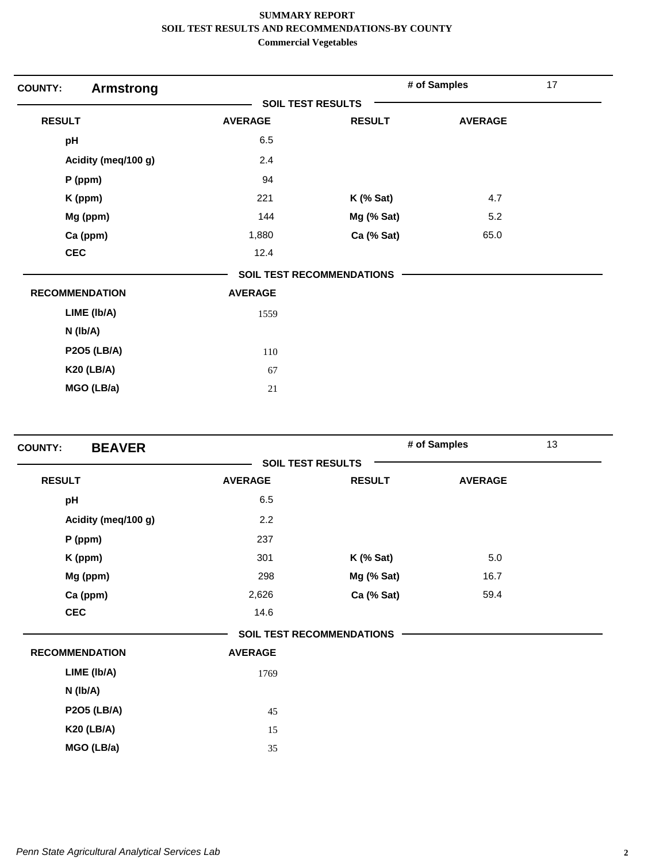| <b>COUNTY:</b><br><b>Armstrong</b> |                          |                                  | # of Samples   | 17 |
|------------------------------------|--------------------------|----------------------------------|----------------|----|
|                                    | <b>SOIL TEST RESULTS</b> |                                  |                |    |
| <b>RESULT</b>                      | <b>AVERAGE</b>           | <b>RESULT</b>                    | <b>AVERAGE</b> |    |
| pH                                 | 6.5                      |                                  |                |    |
| Acidity (meq/100 g)                | 2.4                      |                                  |                |    |
| $P$ (ppm)                          | 94                       |                                  |                |    |
| K (ppm)                            | 221                      | $K$ (% Sat)                      | 4.7            |    |
| Mg (ppm)                           | 144                      | Mg (% Sat)                       | 5.2            |    |
| Ca (ppm)                           | 1,880                    | Ca (% Sat)                       | 65.0           |    |
| <b>CEC</b>                         | 12.4                     |                                  |                |    |
|                                    |                          | <b>SOIL TEST RECOMMENDATIONS</b> |                |    |
| <b>RECOMMENDATION</b>              | <b>AVERAGE</b>           |                                  |                |    |
| LIME (Ib/A)                        | 1559                     |                                  |                |    |
| $N$ ( $lb/A$ )                     |                          |                                  |                |    |
| <b>P2O5 (LB/A)</b>                 | 110                      |                                  |                |    |
| <b>K20 (LB/A)</b>                  | 67                       |                                  |                |    |
| MGO (LB/a)                         | 21                       |                                  |                |    |
|                                    |                          |                                  |                |    |

| <b>BEAVER</b><br><b>COUNTY:</b> |                |                                  | # of Samples   | 13 |
|---------------------------------|----------------|----------------------------------|----------------|----|
|                                 |                | <b>SOIL TEST RESULTS</b>         |                |    |
| <b>RESULT</b>                   | <b>AVERAGE</b> | <b>RESULT</b>                    | <b>AVERAGE</b> |    |
| pH                              | 6.5            |                                  |                |    |
| Acidity (meq/100 g)             | 2.2            |                                  |                |    |
| $P$ (ppm)                       | 237            |                                  |                |    |
| K (ppm)                         | 301            | $K$ (% Sat)                      | 5.0            |    |
| Mg (ppm)                        | 298            | Mg (% Sat)                       | 16.7           |    |
| Ca (ppm)                        | 2,626          | Ca (% Sat)                       | 59.4           |    |
| <b>CEC</b>                      | 14.6           |                                  |                |    |
|                                 |                | <b>SOIL TEST RECOMMENDATIONS</b> |                |    |
| <b>RECOMMENDATION</b>           | <b>AVERAGE</b> |                                  |                |    |
| LIME (Ib/A)                     | 1769           |                                  |                |    |
| N (Ib/A)                        |                |                                  |                |    |
| <b>P2O5 (LB/A)</b>              | 45             |                                  |                |    |
| <b>K20 (LB/A)</b>               | 15             |                                  |                |    |
| MGO (LB/a)                      | 35             |                                  |                |    |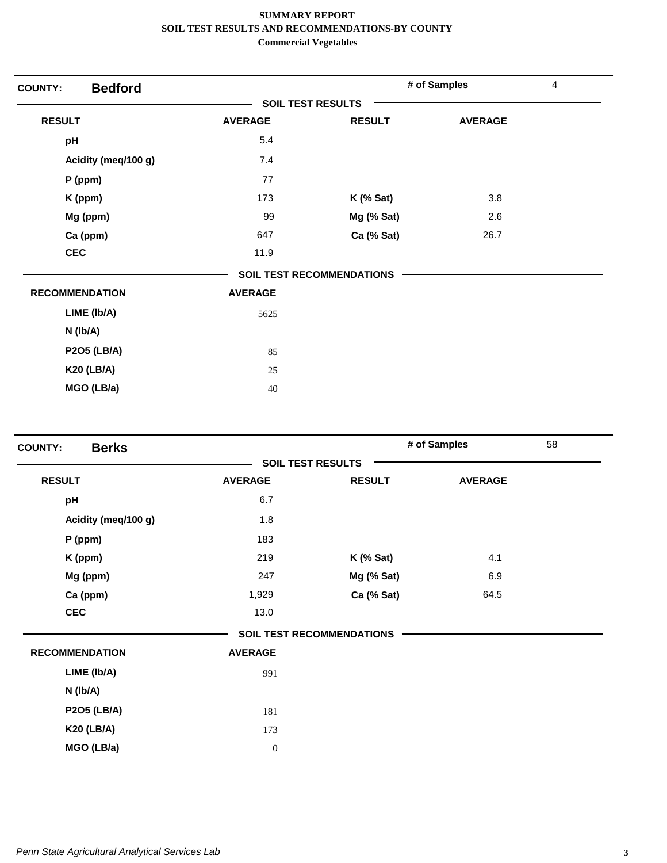| <b>COUNTY:</b>        | <b>Bedford</b>      |                          |                                  | # of Samples   | 4 |
|-----------------------|---------------------|--------------------------|----------------------------------|----------------|---|
|                       |                     | <b>SOIL TEST RESULTS</b> |                                  |                |   |
| <b>RESULT</b>         |                     | <b>AVERAGE</b>           | <b>RESULT</b>                    | <b>AVERAGE</b> |   |
| pH                    |                     | 5.4                      |                                  |                |   |
|                       | Acidity (meq/100 g) | 7.4                      |                                  |                |   |
| P (ppm)               |                     | 77                       |                                  |                |   |
| K (ppm)               |                     | 173                      | $K$ (% Sat)                      | 3.8            |   |
| Mg (ppm)              |                     | 99                       | Mg (% Sat)                       | 2.6            |   |
| Ca (ppm)              |                     | 647                      | Ca (% Sat)                       | 26.7           |   |
| <b>CEC</b>            |                     | 11.9                     |                                  |                |   |
|                       |                     |                          | <b>SOIL TEST RECOMMENDATIONS</b> |                |   |
| <b>RECOMMENDATION</b> |                     | <b>AVERAGE</b>           |                                  |                |   |
|                       | LIME (Ib/A)         | 5625                     |                                  |                |   |
| N (Ib/A)              |                     |                          |                                  |                |   |
|                       | <b>P2O5 (LB/A)</b>  | 85                       |                                  |                |   |
|                       | <b>K20 (LB/A)</b>   | 25                       |                                  |                |   |
|                       | MGO (LB/a)          | 40                       |                                  |                |   |

| <b>Berks</b><br><b>COUNTY:</b> |                  |                                  | # of Samples   | 58 |
|--------------------------------|------------------|----------------------------------|----------------|----|
|                                |                  | <b>SOIL TEST RESULTS</b>         |                |    |
| <b>RESULT</b>                  | <b>AVERAGE</b>   | <b>RESULT</b>                    | <b>AVERAGE</b> |    |
| pH                             | 6.7              |                                  |                |    |
| Acidity (meq/100 g)            | 1.8              |                                  |                |    |
| P (ppm)                        | 183              |                                  |                |    |
| K (ppm)                        | 219              | $K$ (% Sat)                      | 4.1            |    |
| Mg (ppm)                       | 247              | Mg (% Sat)                       | 6.9            |    |
| Ca (ppm)                       | 1,929            | Ca (% Sat)                       | 64.5           |    |
| <b>CEC</b>                     | 13.0             |                                  |                |    |
|                                |                  | <b>SOIL TEST RECOMMENDATIONS</b> |                |    |
| <b>RECOMMENDATION</b>          | <b>AVERAGE</b>   |                                  |                |    |
| LIME (Ib/A)                    | 991              |                                  |                |    |
| N (Ib/A)                       |                  |                                  |                |    |
| <b>P2O5 (LB/A)</b>             | 181              |                                  |                |    |
| <b>K20 (LB/A)</b>              | 173              |                                  |                |    |
| MGO (LB/a)                     | $\boldsymbol{0}$ |                                  |                |    |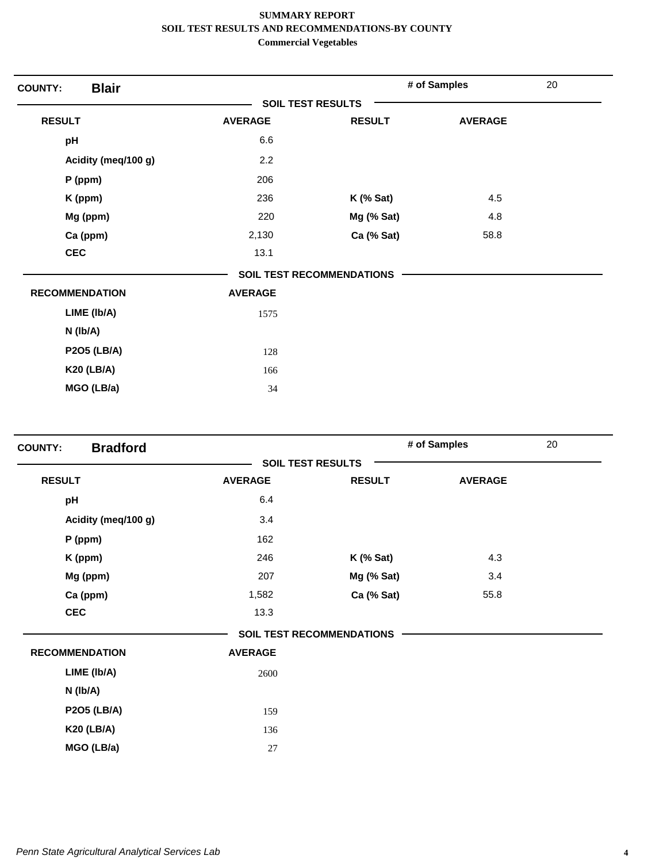| <b>Blair</b><br><b>COUNTY:</b> |                |                                  | # of Samples   | 20 |
|--------------------------------|----------------|----------------------------------|----------------|----|
|                                |                | <b>SOIL TEST RESULTS</b>         |                |    |
| <b>RESULT</b>                  | <b>AVERAGE</b> | <b>RESULT</b>                    | <b>AVERAGE</b> |    |
| pH                             | 6.6            |                                  |                |    |
| Acidity (meq/100 g)            | 2.2            |                                  |                |    |
| P (ppm)                        | 206            |                                  |                |    |
| K (ppm)                        | 236            | $K$ (% Sat)                      | 4.5            |    |
| Mg (ppm)                       | 220            | Mg (% Sat)                       | 4.8            |    |
| Ca (ppm)                       | 2,130          | Ca (% Sat)                       | 58.8           |    |
| <b>CEC</b>                     | 13.1           |                                  |                |    |
|                                |                | <b>SOIL TEST RECOMMENDATIONS</b> |                |    |
| <b>RECOMMENDATION</b>          | <b>AVERAGE</b> |                                  |                |    |
| LIME (Ib/A)                    | 1575           |                                  |                |    |
| $N$ ( $lb/A$ )                 |                |                                  |                |    |
| <b>P2O5 (LB/A)</b>             | 128            |                                  |                |    |
| <b>K20 (LB/A)</b>              | 166            |                                  |                |    |
| MGO (LB/a)                     | 34             |                                  |                |    |
|                                |                |                                  |                |    |

| <b>Bradford</b><br><b>COUNTY:</b> |                |                                  | # of Samples   | 20 |
|-----------------------------------|----------------|----------------------------------|----------------|----|
|                                   |                | <b>SOIL TEST RESULTS</b>         |                |    |
| <b>RESULT</b>                     | <b>AVERAGE</b> | <b>RESULT</b>                    | <b>AVERAGE</b> |    |
| pH                                | 6.4            |                                  |                |    |
| Acidity (meq/100 g)               | 3.4            |                                  |                |    |
| P (ppm)                           | 162            |                                  |                |    |
| K (ppm)                           | 246            | $K$ (% Sat)                      | 4.3            |    |
| Mg (ppm)                          | 207            | Mg (% Sat)                       | 3.4            |    |
| Ca (ppm)                          | 1,582          | Ca (% Sat)                       | 55.8           |    |
| <b>CEC</b>                        | 13.3           |                                  |                |    |
|                                   |                | <b>SOIL TEST RECOMMENDATIONS</b> |                |    |
| <b>RECOMMENDATION</b>             | <b>AVERAGE</b> |                                  |                |    |
| LIME (Ib/A)                       | 2600           |                                  |                |    |
| N (Ib/A)                          |                |                                  |                |    |
| <b>P2O5 (LB/A)</b>                | 159            |                                  |                |    |
| <b>K20 (LB/A)</b>                 | 136            |                                  |                |    |
| MGO (LB/a)                        | 27             |                                  |                |    |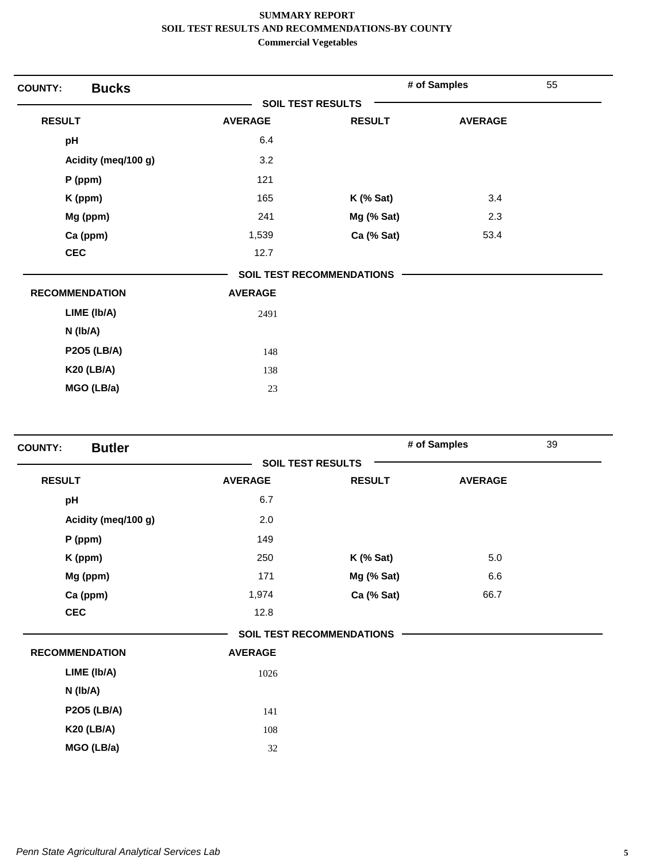| <b>COUNTY:</b>        | <b>Bucks</b>        |                          |                                  | # of Samples   | 55 |
|-----------------------|---------------------|--------------------------|----------------------------------|----------------|----|
|                       |                     | <b>SOIL TEST RESULTS</b> |                                  |                |    |
| <b>RESULT</b>         |                     | <b>AVERAGE</b>           | <b>RESULT</b>                    | <b>AVERAGE</b> |    |
| pH                    |                     | 6.4                      |                                  |                |    |
|                       | Acidity (meg/100 g) | 3.2                      |                                  |                |    |
|                       | P (ppm)             | 121                      |                                  |                |    |
|                       | K (ppm)             | 165                      | $K$ (% Sat)                      | 3.4            |    |
|                       | Mg (ppm)            | 241                      | Mg (% Sat)                       | 2.3            |    |
|                       | Ca (ppm)            | 1,539                    | Ca (% Sat)                       | 53.4           |    |
| <b>CEC</b>            |                     | 12.7                     |                                  |                |    |
|                       |                     |                          | <b>SOIL TEST RECOMMENDATIONS</b> |                |    |
| <b>RECOMMENDATION</b> |                     | <b>AVERAGE</b>           |                                  |                |    |
|                       | LIME (Ib/A)         | 2491                     |                                  |                |    |
| N (Ib/A)              |                     |                          |                                  |                |    |
|                       | <b>P2O5 (LB/A)</b>  | 148                      |                                  |                |    |
|                       | <b>K20 (LB/A)</b>   | 138                      |                                  |                |    |
|                       | MGO (LB/a)          | 23                       |                                  |                |    |
|                       |                     |                          |                                  |                |    |

| <b>Butler</b><br><b>COUNTY:</b> |                |                                  | # of Samples   | 39 |
|---------------------------------|----------------|----------------------------------|----------------|----|
|                                 |                | <b>SOIL TEST RESULTS</b>         |                |    |
| <b>RESULT</b>                   | <b>AVERAGE</b> | <b>RESULT</b>                    | <b>AVERAGE</b> |    |
| pH                              | 6.7            |                                  |                |    |
| Acidity (meq/100 g)             | 2.0            |                                  |                |    |
| P (ppm)                         | 149            |                                  |                |    |
| K (ppm)                         | 250            | $K$ (% Sat)                      | 5.0            |    |
| Mg (ppm)                        | 171            | Mg (% Sat)                       | 6.6            |    |
| Ca (ppm)                        | 1,974          | Ca (% Sat)                       | 66.7           |    |
| <b>CEC</b>                      | 12.8           |                                  |                |    |
|                                 |                | <b>SOIL TEST RECOMMENDATIONS</b> |                |    |
| <b>RECOMMENDATION</b>           | <b>AVERAGE</b> |                                  |                |    |
| LIME (Ib/A)                     | 1026           |                                  |                |    |
| N (Ib/A)                        |                |                                  |                |    |
| <b>P2O5 (LB/A)</b>              | 141            |                                  |                |    |
| <b>K20 (LB/A)</b>               | 108            |                                  |                |    |
| MGO (LB/a)                      | 32             |                                  |                |    |
|                                 |                |                                  |                |    |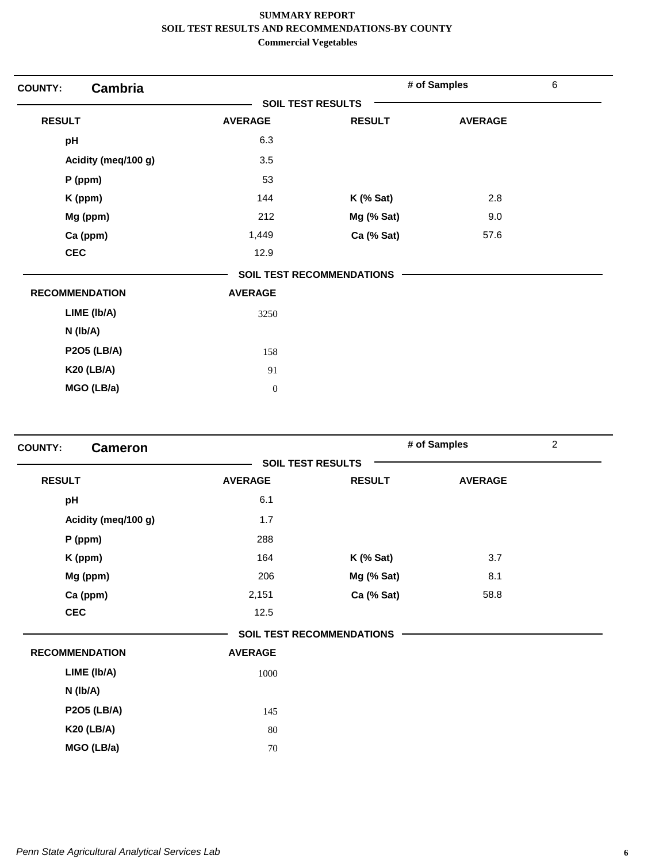| <b>Cambria</b><br><b>COUNTY:</b> |                          |                                  | # of Samples   | $\,6$ |
|----------------------------------|--------------------------|----------------------------------|----------------|-------|
|                                  | <b>SOIL TEST RESULTS</b> |                                  |                |       |
| <b>RESULT</b>                    | <b>AVERAGE</b>           | <b>RESULT</b>                    | <b>AVERAGE</b> |       |
| pH                               | 6.3                      |                                  |                |       |
| Acidity (meg/100 g)              | 3.5                      |                                  |                |       |
| P (ppm)                          | 53                       |                                  |                |       |
| K (ppm)                          | 144                      | $K$ (% Sat)                      | 2.8            |       |
| Mg (ppm)                         | 212                      | Mg (% Sat)                       | 9.0            |       |
| Ca (ppm)                         | 1,449                    | Ca (% Sat)                       | 57.6           |       |
| <b>CEC</b>                       | 12.9                     |                                  |                |       |
|                                  |                          | <b>SOIL TEST RECOMMENDATIONS</b> |                |       |
| <b>RECOMMENDATION</b>            | <b>AVERAGE</b>           |                                  |                |       |
| LIME (Ib/A)                      | 3250                     |                                  |                |       |
| N (Ib/A)                         |                          |                                  |                |       |
| <b>P2O5 (LB/A)</b>               | 158                      |                                  |                |       |
| <b>K20 (LB/A)</b>                | 91                       |                                  |                |       |
| MGO (LB/a)                       | $\mathbf{0}$             |                                  |                |       |

| <b>COUNTY:</b><br><b>Cameron</b> |                |                                  | # of Samples   | $\overline{c}$ |
|----------------------------------|----------------|----------------------------------|----------------|----------------|
|                                  |                | <b>SOIL TEST RESULTS</b>         |                |                |
| <b>RESULT</b>                    | <b>AVERAGE</b> | <b>RESULT</b>                    | <b>AVERAGE</b> |                |
| pH                               | 6.1            |                                  |                |                |
| Acidity (meq/100 g)              | 1.7            |                                  |                |                |
| $P$ (ppm)                        | 288            |                                  |                |                |
| K (ppm)                          | 164            | $K$ (% Sat)                      | 3.7            |                |
| Mg (ppm)                         | 206            | Mg (% Sat)                       | 8.1            |                |
| Ca (ppm)                         | 2,151          | Ca (% Sat)                       | 58.8           |                |
| <b>CEC</b>                       | 12.5           |                                  |                |                |
|                                  |                | <b>SOIL TEST RECOMMENDATIONS</b> |                |                |
| <b>RECOMMENDATION</b>            | <b>AVERAGE</b> |                                  |                |                |
| LIME (Ib/A)                      | 1000           |                                  |                |                |
| N (Ib/A)                         |                |                                  |                |                |
| <b>P2O5 (LB/A)</b>               | 145            |                                  |                |                |
| <b>K20 (LB/A)</b>                | 80             |                                  |                |                |
| MGO (LB/a)                       | 70             |                                  |                |                |
|                                  |                |                                  |                |                |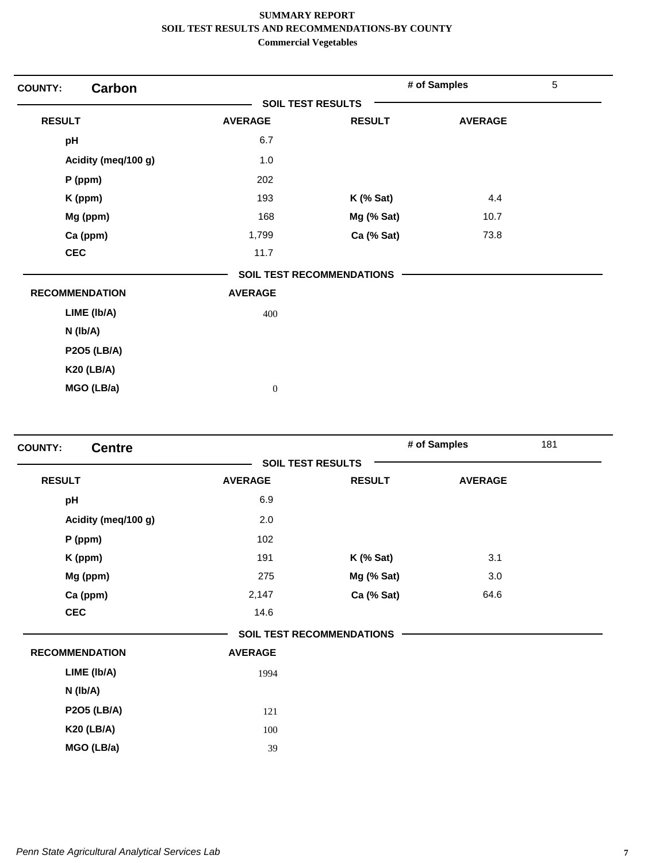| <b>Carbon</b><br><b>COUNTY:</b> |                          |                                  | # of Samples   | 5 |
|---------------------------------|--------------------------|----------------------------------|----------------|---|
|                                 | <b>SOIL TEST RESULTS</b> |                                  |                |   |
| <b>RESULT</b>                   | <b>AVERAGE</b>           | <b>RESULT</b>                    | <b>AVERAGE</b> |   |
| pH                              | 6.7                      |                                  |                |   |
| Acidity (meq/100 g)             | 1.0                      |                                  |                |   |
| P (ppm)                         | 202                      |                                  |                |   |
| K (ppm)                         | 193                      | $K$ (% Sat)                      | 4.4            |   |
| Mg (ppm)                        | 168                      | Mg (% Sat)                       | 10.7           |   |
| Ca (ppm)                        | 1,799                    | Ca (% Sat)                       | 73.8           |   |
| <b>CEC</b>                      | 11.7                     |                                  |                |   |
|                                 |                          | <b>SOIL TEST RECOMMENDATIONS</b> |                |   |
| <b>RECOMMENDATION</b>           | <b>AVERAGE</b>           |                                  |                |   |
| LIME (Ib/A)                     | 400                      |                                  |                |   |
| $N$ (lb/A)                      |                          |                                  |                |   |
| <b>P2O5 (LB/A)</b>              |                          |                                  |                |   |
| <b>K20 (LB/A)</b>               |                          |                                  |                |   |
| MGO (LB/a)                      | $\boldsymbol{0}$         |                                  |                |   |

| <b>Centre</b>         |                          |                           | # of Samples   | 181 |
|-----------------------|--------------------------|---------------------------|----------------|-----|
|                       | <b>SOIL TEST RESULTS</b> |                           |                |     |
| <b>RESULT</b>         | <b>AVERAGE</b>           | <b>RESULT</b>             | <b>AVERAGE</b> |     |
| pH                    | 6.9                      |                           |                |     |
| Acidity (meq/100 g)   | 2.0                      |                           |                |     |
| $P$ (ppm)             | 102                      |                           |                |     |
| K (ppm)               | 191                      | $K$ (% Sat)               | 3.1            |     |
| Mg (ppm)              | 275                      | Mg (% Sat)                | 3.0            |     |
| Ca (ppm)              | 2,147                    | Ca (% Sat)                | 64.6           |     |
| <b>CEC</b>            | 14.6                     |                           |                |     |
|                       |                          | SOIL TEST RECOMMENDATIONS |                |     |
| <b>RECOMMENDATION</b> | <b>AVERAGE</b>           |                           |                |     |
| LIME (Ib/A)           | 1994                     |                           |                |     |
| N (Ib/A)              |                          |                           |                |     |
| <b>P2O5 (LB/A)</b>    | 121                      |                           |                |     |
| <b>K20 (LB/A)</b>     | 100                      |                           |                |     |
| MGO (LB/a)            | 39                       |                           |                |     |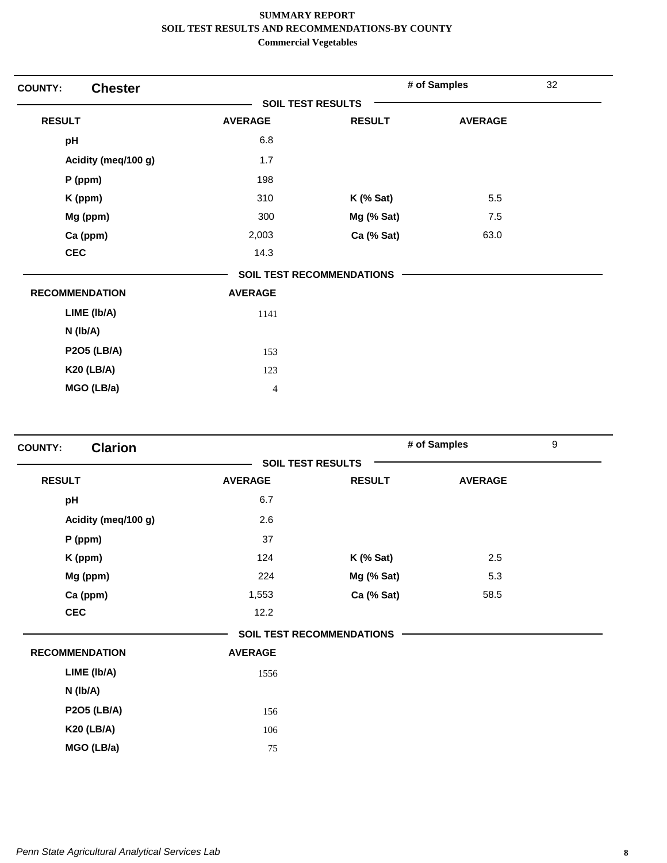| <b>Chester</b><br><b>COUNTY:</b> |                          |                                  | # of Samples   | 32 |
|----------------------------------|--------------------------|----------------------------------|----------------|----|
|                                  | <b>SOIL TEST RESULTS</b> |                                  |                |    |
| <b>RESULT</b>                    | <b>AVERAGE</b>           | <b>RESULT</b>                    | <b>AVERAGE</b> |    |
| pH                               | 6.8                      |                                  |                |    |
| Acidity (meq/100 g)              | 1.7                      |                                  |                |    |
| P (ppm)                          | 198                      |                                  |                |    |
| K (ppm)                          | 310                      | $K$ (% Sat)                      | 5.5            |    |
| Mg (ppm)                         | 300                      | Mg (% Sat)                       | 7.5            |    |
| Ca (ppm)                         | 2,003                    | Ca (% Sat)                       | 63.0           |    |
| <b>CEC</b>                       | 14.3                     |                                  |                |    |
|                                  |                          | <b>SOIL TEST RECOMMENDATIONS</b> |                |    |
| <b>RECOMMENDATION</b>            | <b>AVERAGE</b>           |                                  |                |    |
| LIME (Ib/A)                      | 1141                     |                                  |                |    |
| N (Ib/A)                         |                          |                                  |                |    |
| <b>P2O5 (LB/A)</b>               | 153                      |                                  |                |    |
| <b>K20 (LB/A)</b>                | 123                      |                                  |                |    |
| MGO (LB/a)                       | $\overline{4}$           |                                  |                |    |
|                                  |                          |                                  |                |    |

| <b>Clarion</b><br><b>COUNTY:</b> |                          |                                  | # of Samples   | $\boldsymbol{9}$ |
|----------------------------------|--------------------------|----------------------------------|----------------|------------------|
|                                  | <b>SOIL TEST RESULTS</b> |                                  |                |                  |
| <b>RESULT</b>                    | <b>AVERAGE</b>           | <b>RESULT</b>                    | <b>AVERAGE</b> |                  |
| pH                               | 6.7                      |                                  |                |                  |
| Acidity (meq/100 g)              | 2.6                      |                                  |                |                  |
| P (ppm)                          | 37                       |                                  |                |                  |
| K (ppm)                          | 124                      | <b>K</b> (% Sat)                 | 2.5            |                  |
| Mg (ppm)                         | 224                      | Mg (% Sat)                       | 5.3            |                  |
| Ca (ppm)                         | 1,553                    | Ca (% Sat)                       | 58.5           |                  |
| <b>CEC</b>                       | 12.2                     |                                  |                |                  |
|                                  |                          | <b>SOIL TEST RECOMMENDATIONS</b> |                |                  |
| <b>RECOMMENDATION</b>            | <b>AVERAGE</b>           |                                  |                |                  |
| LIME (Ib/A)                      | 1556                     |                                  |                |                  |
| N (Ib/A)                         |                          |                                  |                |                  |
| <b>P2O5 (LB/A)</b>               | 156                      |                                  |                |                  |
| <b>K20 (LB/A)</b>                | 106                      |                                  |                |                  |
| MGO (LB/a)                       | 75                       |                                  |                |                  |
|                                  |                          |                                  |                |                  |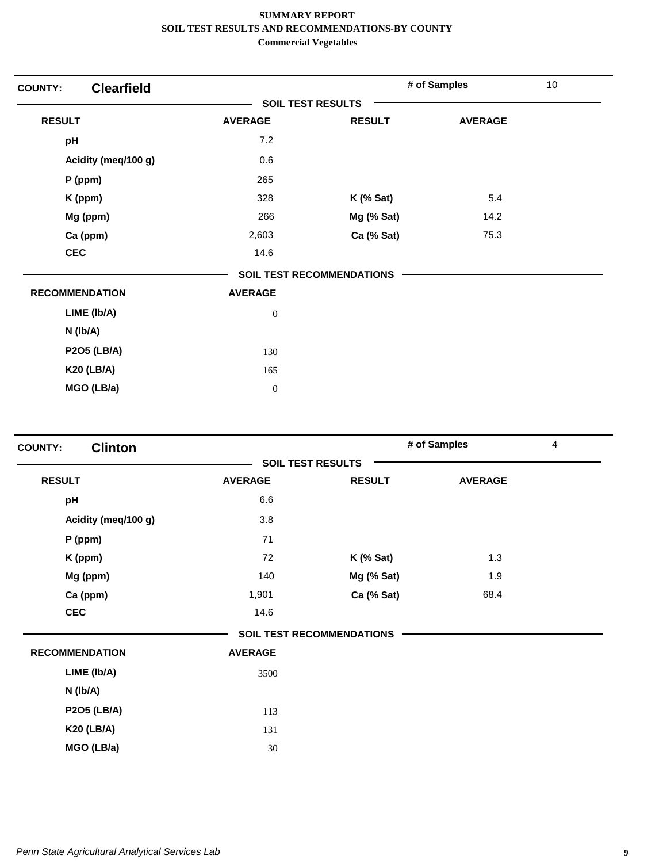| <b>COUNTY:</b> | <b>Clearfield</b>     |                          |                                  | # of Samples   | 10 |
|----------------|-----------------------|--------------------------|----------------------------------|----------------|----|
|                |                       | <b>SOIL TEST RESULTS</b> |                                  |                |    |
| <b>RESULT</b>  |                       | <b>AVERAGE</b>           | <b>RESULT</b>                    | <b>AVERAGE</b> |    |
| pH             |                       | 7.2                      |                                  |                |    |
|                | Acidity (meq/100 g)   | 0.6                      |                                  |                |    |
|                | P (ppm)               | 265                      |                                  |                |    |
|                | K (ppm)               | 328                      | $K$ (% Sat)                      | 5.4            |    |
|                | Mg (ppm)              | 266                      | Mg (% Sat)                       | 14.2           |    |
|                | Ca (ppm)              | 2,603                    | Ca (% Sat)                       | 75.3           |    |
|                | <b>CEC</b>            | 14.6                     |                                  |                |    |
|                |                       |                          | <b>SOIL TEST RECOMMENDATIONS</b> |                |    |
|                | <b>RECOMMENDATION</b> | <b>AVERAGE</b>           |                                  |                |    |
|                | LIME (Ib/A)           | $\boldsymbol{0}$         |                                  |                |    |
|                | N (Ib/A)              |                          |                                  |                |    |
|                | <b>P2O5 (LB/A)</b>    | 130                      |                                  |                |    |
|                | <b>K20 (LB/A)</b>     | 165                      |                                  |                |    |
|                | MGO (LB/a)            | $\mathbf{0}$             |                                  |                |    |
|                |                       |                          |                                  |                |    |

| <b>Clinton</b><br><b>COUNTY:</b> |                          |                                  | # of Samples   | 4 |
|----------------------------------|--------------------------|----------------------------------|----------------|---|
|                                  | <b>SOIL TEST RESULTS</b> |                                  |                |   |
| <b>RESULT</b>                    | <b>AVERAGE</b>           | <b>RESULT</b>                    | <b>AVERAGE</b> |   |
| pH                               | 6.6                      |                                  |                |   |
| Acidity (meq/100 g)              | 3.8                      |                                  |                |   |
| P (ppm)                          | 71                       |                                  |                |   |
| K (ppm)                          | 72                       | $K$ (% Sat)                      | 1.3            |   |
| Mg (ppm)                         | 140                      | Mg (% Sat)                       | 1.9            |   |
| Ca (ppm)                         | 1,901                    | Ca (% Sat)                       | 68.4           |   |
| <b>CEC</b>                       | 14.6                     |                                  |                |   |
|                                  |                          | <b>SOIL TEST RECOMMENDATIONS</b> |                |   |
| <b>RECOMMENDATION</b>            | <b>AVERAGE</b>           |                                  |                |   |
| LIME (Ib/A)                      | 3500                     |                                  |                |   |
| $N$ ( $lb/A$ )                   |                          |                                  |                |   |
| <b>P2O5 (LB/A)</b>               | 113                      |                                  |                |   |
| <b>K20 (LB/A)</b>                | 131                      |                                  |                |   |
| MGO (LB/a)                       | 30                       |                                  |                |   |
|                                  |                          |                                  |                |   |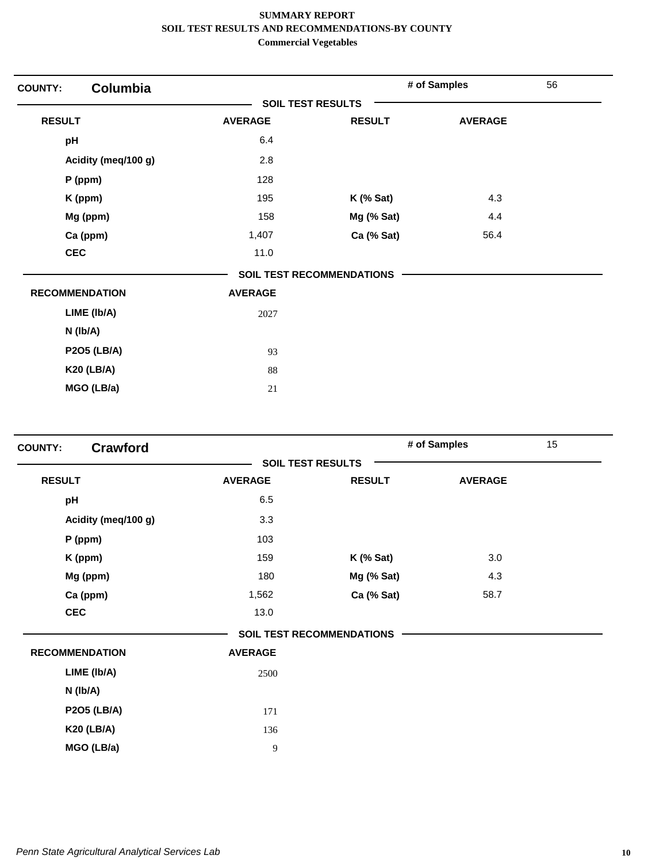| Columbia<br><b>COUNTY:</b> |                          |                                  | # of Samples   | 56 |
|----------------------------|--------------------------|----------------------------------|----------------|----|
|                            | <b>SOIL TEST RESULTS</b> |                                  |                |    |
| <b>RESULT</b>              | <b>AVERAGE</b>           | <b>RESULT</b>                    | <b>AVERAGE</b> |    |
| pH                         | 6.4                      |                                  |                |    |
| Acidity (meq/100 g)        | 2.8                      |                                  |                |    |
| P (ppm)                    | 128                      |                                  |                |    |
| K (ppm)                    | 195                      | $K$ (% Sat)                      | 4.3            |    |
| Mg (ppm)                   | 158                      | Mg (% Sat)                       | 4.4            |    |
| Ca (ppm)                   | 1,407                    | Ca (% Sat)                       | 56.4           |    |
| <b>CEC</b>                 | 11.0                     |                                  |                |    |
|                            |                          | <b>SOIL TEST RECOMMENDATIONS</b> |                |    |
| <b>RECOMMENDATION</b>      | <b>AVERAGE</b>           |                                  |                |    |
| LIME (Ib/A)                | 2027                     |                                  |                |    |
| N (Ib/A)                   |                          |                                  |                |    |
| <b>P2O5 (LB/A)</b>         | 93                       |                                  |                |    |
| <b>K20 (LB/A)</b>          | 88                       |                                  |                |    |
| MGO (LB/a)                 | 21                       |                                  |                |    |

| <b>COUNTY:</b>        | Crawford            |                          |                                  | # of Samples   | 15 |
|-----------------------|---------------------|--------------------------|----------------------------------|----------------|----|
|                       |                     | <b>SOIL TEST RESULTS</b> |                                  |                |    |
| <b>RESULT</b>         |                     | <b>AVERAGE</b>           | <b>RESULT</b>                    | <b>AVERAGE</b> |    |
| pH                    |                     | 6.5                      |                                  |                |    |
|                       | Acidity (meq/100 g) | 3.3                      |                                  |                |    |
| P (ppm)               |                     | 103                      |                                  |                |    |
| K (ppm)               |                     | 159                      | $K$ (% Sat)                      | 3.0            |    |
|                       | Mg (ppm)            | 180                      | Mg (% Sat)                       | 4.3            |    |
|                       | Ca (ppm)            | 1,562                    | Ca (% Sat)                       | 58.7           |    |
| <b>CEC</b>            |                     | 13.0                     |                                  |                |    |
|                       |                     |                          | <b>SOIL TEST RECOMMENDATIONS</b> |                |    |
| <b>RECOMMENDATION</b> |                     | <b>AVERAGE</b>           |                                  |                |    |
|                       | LIME (Ib/A)         | 2500                     |                                  |                |    |
| N (Ib/A)              |                     |                          |                                  |                |    |
|                       | <b>P2O5 (LB/A)</b>  | 171                      |                                  |                |    |
|                       | <b>K20 (LB/A)</b>   | 136                      |                                  |                |    |
|                       | MGO (LB/a)          | 9                        |                                  |                |    |
|                       |                     |                          |                                  |                |    |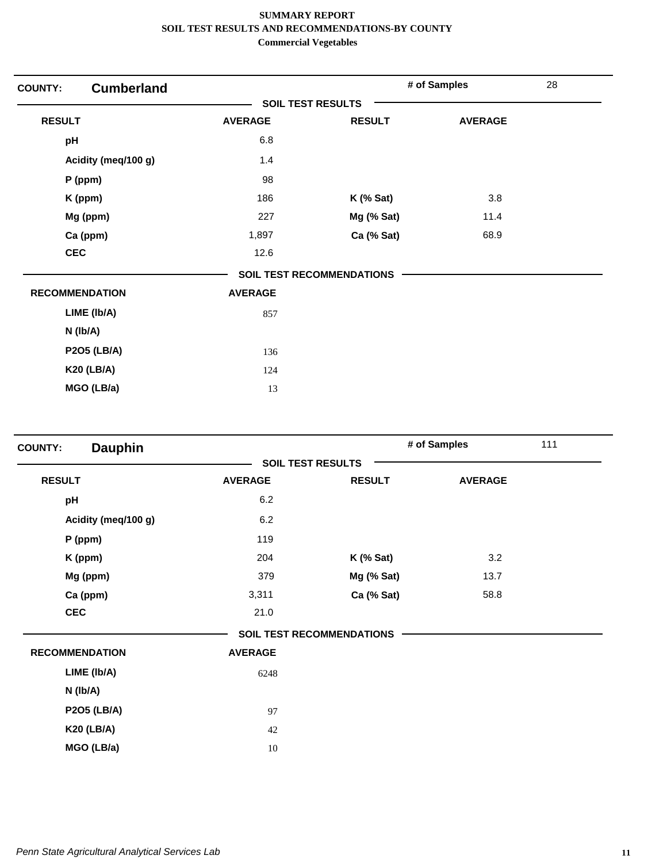| <b>Cumberland</b><br><b>COUNTY:</b> |                          |                                  | # of Samples   | 28 |
|-------------------------------------|--------------------------|----------------------------------|----------------|----|
|                                     | <b>SOIL TEST RESULTS</b> |                                  |                |    |
| <b>RESULT</b>                       | <b>AVERAGE</b>           | <b>RESULT</b>                    | <b>AVERAGE</b> |    |
| pH                                  | 6.8                      |                                  |                |    |
| Acidity (meq/100 g)                 | 1.4                      |                                  |                |    |
| $P$ (ppm)                           | 98                       |                                  |                |    |
| K (ppm)                             | 186                      | $K$ (% Sat)                      | 3.8            |    |
| Mg (ppm)                            | 227                      | Mg (% Sat)                       | 11.4           |    |
| Ca (ppm)                            | 1,897                    | Ca (% Sat)                       | 68.9           |    |
| <b>CEC</b>                          | 12.6                     |                                  |                |    |
|                                     |                          | <b>SOIL TEST RECOMMENDATIONS</b> |                |    |
| <b>RECOMMENDATION</b>               | <b>AVERAGE</b>           |                                  |                |    |
| LIME (Ib/A)                         | 857                      |                                  |                |    |
| $N$ ( $lb/A$ )                      |                          |                                  |                |    |
| <b>P2O5 (LB/A)</b>                  | 136                      |                                  |                |    |
| <b>K20 (LB/A)</b>                   | 124                      |                                  |                |    |
| MGO (LB/a)                          | 13                       |                                  |                |    |

| <b>Dauphin</b><br><b>COUNTY:</b> |                |                                  | # of Samples   | 111 |
|----------------------------------|----------------|----------------------------------|----------------|-----|
|                                  |                | <b>SOIL TEST RESULTS</b>         |                |     |
| <b>RESULT</b>                    | <b>AVERAGE</b> | <b>RESULT</b>                    | <b>AVERAGE</b> |     |
| pH                               | 6.2            |                                  |                |     |
| Acidity (meg/100 g)              | 6.2            |                                  |                |     |
| $P$ (ppm)                        | 119            |                                  |                |     |
| K (ppm)                          | 204            | <b>K</b> (% Sat)                 | 3.2            |     |
| Mg (ppm)                         | 379            | Mg (% Sat)                       | 13.7           |     |
| Ca (ppm)                         | 3,311          | Ca (% Sat)                       | 58.8           |     |
| <b>CEC</b>                       | 21.0           |                                  |                |     |
|                                  |                | <b>SOIL TEST RECOMMENDATIONS</b> |                |     |
| <b>RECOMMENDATION</b>            | <b>AVERAGE</b> |                                  |                |     |
| LIME (Ib/A)                      | 6248           |                                  |                |     |
| $N$ ( $lb/A$ )                   |                |                                  |                |     |
| <b>P2O5 (LB/A)</b>               | 97             |                                  |                |     |
| <b>K20 (LB/A)</b>                | 42             |                                  |                |     |
| MGO (LB/a)                       | 10             |                                  |                |     |
|                                  |                |                                  |                |     |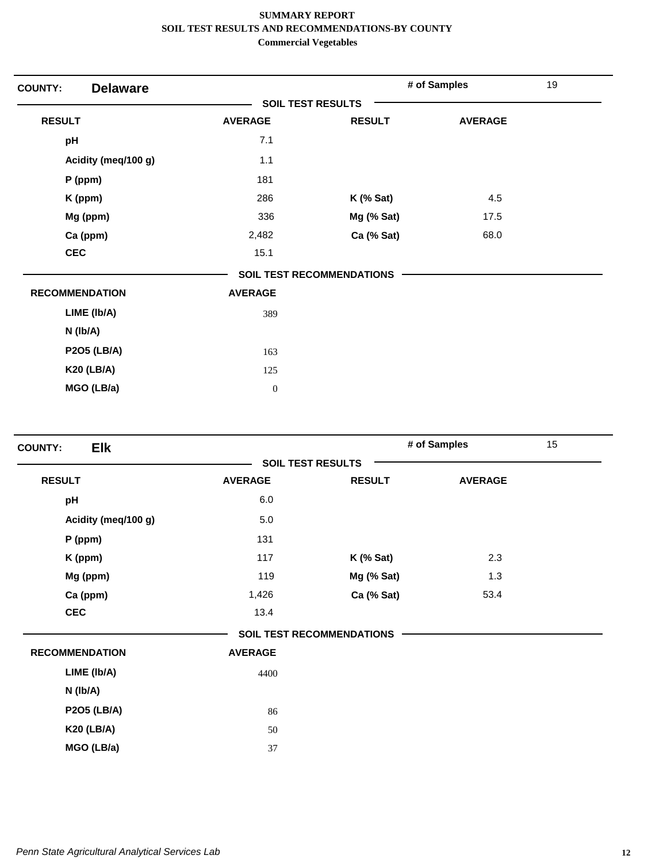| <b>Delaware</b><br><b>COUNTY:</b> |                          |                                  | # of Samples   | 19 |
|-----------------------------------|--------------------------|----------------------------------|----------------|----|
|                                   | <b>SOIL TEST RESULTS</b> |                                  |                |    |
| <b>RESULT</b>                     | <b>AVERAGE</b>           | <b>RESULT</b>                    | <b>AVERAGE</b> |    |
| pH                                | 7.1                      |                                  |                |    |
| Acidity (meq/100 g)               | 1.1                      |                                  |                |    |
| $P$ (ppm)                         | 181                      |                                  |                |    |
| K (ppm)                           | 286                      | $K$ (% Sat)                      | 4.5            |    |
| Mg (ppm)                          | 336                      | Mg (% Sat)                       | 17.5           |    |
| Ca (ppm)                          | 2,482                    | Ca (% Sat)                       | 68.0           |    |
| <b>CEC</b>                        | 15.1                     |                                  |                |    |
|                                   |                          | <b>SOIL TEST RECOMMENDATIONS</b> |                |    |
| <b>RECOMMENDATION</b>             | <b>AVERAGE</b>           |                                  |                |    |
| LIME (Ib/A)                       | 389                      |                                  |                |    |
| N (Ib/A)                          |                          |                                  |                |    |
| <b>P2O5 (LB/A)</b>                | 163                      |                                  |                |    |
| <b>K20 (LB/A)</b>                 | 125                      |                                  |                |    |
| MGO (LB/a)                        | $\boldsymbol{0}$         |                                  |                |    |

| <b>Elk</b><br><b>COUNTY:</b> |                |                                  | # of Samples   | 15 |
|------------------------------|----------------|----------------------------------|----------------|----|
|                              |                | <b>SOIL TEST RESULTS</b>         |                |    |
| <b>RESULT</b>                | <b>AVERAGE</b> | <b>RESULT</b>                    | <b>AVERAGE</b> |    |
| pH                           | 6.0            |                                  |                |    |
| Acidity (meq/100 g)          | 5.0            |                                  |                |    |
| $P$ (ppm)                    | 131            |                                  |                |    |
| K (ppm)                      | 117            | $K$ (% Sat)                      | 2.3            |    |
| Mg (ppm)                     | 119            | Mg (% Sat)                       | 1.3            |    |
| Ca (ppm)                     | 1,426          | Ca (% Sat)                       | 53.4           |    |
| <b>CEC</b>                   | 13.4           |                                  |                |    |
|                              |                | <b>SOIL TEST RECOMMENDATIONS</b> |                |    |
| <b>RECOMMENDATION</b>        | <b>AVERAGE</b> |                                  |                |    |
| LIME (Ib/A)                  | 4400           |                                  |                |    |
| $N$ ( $lb/A$ )               |                |                                  |                |    |
| <b>P2O5 (LB/A)</b>           | 86             |                                  |                |    |
| <b>K20 (LB/A)</b>            | 50             |                                  |                |    |
| MGO (LB/a)                   | 37             |                                  |                |    |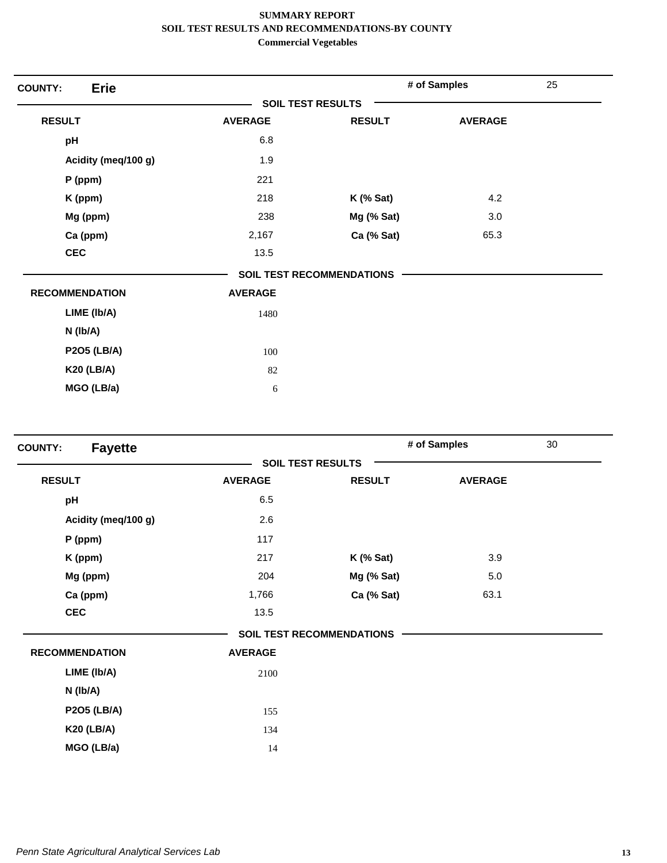| <b>Erie</b><br><b>COUNTY:</b> |                |                                  | # of Samples   | 25 |
|-------------------------------|----------------|----------------------------------|----------------|----|
|                               |                | <b>SOIL TEST RESULTS</b>         |                |    |
| <b>RESULT</b>                 | <b>AVERAGE</b> | <b>RESULT</b>                    | <b>AVERAGE</b> |    |
| pH                            | 6.8            |                                  |                |    |
| Acidity (meq/100 g)           | 1.9            |                                  |                |    |
| P (ppm)                       | 221            |                                  |                |    |
| K (ppm)                       | 218            | $K$ (% Sat)                      | 4.2            |    |
| Mg (ppm)                      | 238            | Mg (% Sat)                       | 3.0            |    |
| Ca (ppm)                      | 2,167          | Ca (% Sat)                       | 65.3           |    |
| <b>CEC</b>                    | 13.5           |                                  |                |    |
|                               |                | <b>SOIL TEST RECOMMENDATIONS</b> |                |    |
| <b>RECOMMENDATION</b>         | <b>AVERAGE</b> |                                  |                |    |
| LIME (Ib/A)                   | 1480           |                                  |                |    |
| $N$ ( $lb/A$ )                |                |                                  |                |    |
| <b>P2O5 (LB/A)</b>            | 100            |                                  |                |    |
| <b>K20 (LB/A)</b>             | 82             |                                  |                |    |
| MGO (LB/a)                    | 6              |                                  |                |    |
|                               |                |                                  |                |    |

| <b>Fayette</b><br><b>COUNTY:</b> |                |                                  | # of Samples   | 30 |
|----------------------------------|----------------|----------------------------------|----------------|----|
|                                  |                | <b>SOIL TEST RESULTS</b>         |                |    |
| <b>RESULT</b>                    | <b>AVERAGE</b> | <b>RESULT</b>                    | <b>AVERAGE</b> |    |
| pH                               | 6.5            |                                  |                |    |
| Acidity (meq/100 g)              | 2.6            |                                  |                |    |
| $P$ (ppm)                        | 117            |                                  |                |    |
| K (ppm)                          | 217            | $K$ (% Sat)                      | 3.9            |    |
| Mg (ppm)                         | 204            | Mg (% Sat)                       | 5.0            |    |
| Ca (ppm)                         | 1,766          | Ca (% Sat)                       | 63.1           |    |
| <b>CEC</b>                       | 13.5           |                                  |                |    |
|                                  |                | <b>SOIL TEST RECOMMENDATIONS</b> |                |    |
| <b>RECOMMENDATION</b>            | <b>AVERAGE</b> |                                  |                |    |
| LIME (Ib/A)                      | 2100           |                                  |                |    |
| $N$ (lb/A)                       |                |                                  |                |    |
| <b>P2O5 (LB/A)</b>               | 155            |                                  |                |    |
| <b>K20 (LB/A)</b>                | 134            |                                  |                |    |
| MGO (LB/a)                       | 14             |                                  |                |    |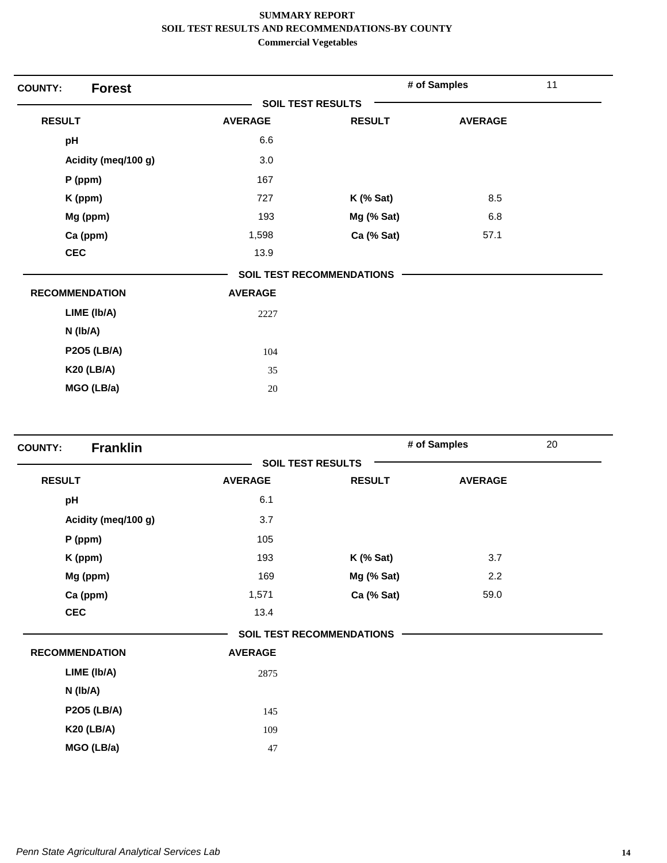| <b>Forest</b><br><b>COUNTY:</b> |                          |                                  | # of Samples   | 11 |
|---------------------------------|--------------------------|----------------------------------|----------------|----|
|                                 | <b>SOIL TEST RESULTS</b> |                                  |                |    |
| <b>RESULT</b>                   | <b>AVERAGE</b>           | <b>RESULT</b>                    | <b>AVERAGE</b> |    |
| pH                              | 6.6                      |                                  |                |    |
| Acidity (meq/100 g)             | 3.0                      |                                  |                |    |
| P (ppm)                         | 167                      |                                  |                |    |
| K (ppm)                         | 727                      | $K$ (% Sat)                      | 8.5            |    |
| Mg (ppm)                        | 193                      | Mg (% Sat)                       | 6.8            |    |
| Ca (ppm)                        | 1,598                    | Ca (% Sat)                       | 57.1           |    |
| <b>CEC</b>                      | 13.9                     |                                  |                |    |
|                                 |                          | <b>SOIL TEST RECOMMENDATIONS</b> |                |    |
| <b>RECOMMENDATION</b>           | <b>AVERAGE</b>           |                                  |                |    |
| LIME (Ib/A)                     | 2227                     |                                  |                |    |
| $N$ (lb/A)                      |                          |                                  |                |    |
| <b>P2O5 (LB/A)</b>              | 104                      |                                  |                |    |
| <b>K20 (LB/A)</b>               | 35                       |                                  |                |    |
| MGO (LB/a)                      | 20                       |                                  |                |    |

| <b>Franklin</b><br><b>COUNTY:</b> |                |                                  | # of Samples   | 20 |
|-----------------------------------|----------------|----------------------------------|----------------|----|
|                                   |                | <b>SOIL TEST RESULTS</b>         |                |    |
| <b>RESULT</b>                     | <b>AVERAGE</b> | <b>RESULT</b>                    | <b>AVERAGE</b> |    |
| pH                                | 6.1            |                                  |                |    |
| Acidity (meq/100 g)               | 3.7            |                                  |                |    |
| $P$ (ppm)                         | 105            |                                  |                |    |
| K (ppm)                           | 193            | <b>K</b> (% Sat)                 | 3.7            |    |
| Mg (ppm)                          | 169            | Mg (% Sat)                       | 2.2            |    |
| Ca (ppm)                          | 1,571          | Ca (% Sat)                       | 59.0           |    |
| <b>CEC</b>                        | 13.4           |                                  |                |    |
|                                   |                | <b>SOIL TEST RECOMMENDATIONS</b> |                |    |
| <b>RECOMMENDATION</b>             | <b>AVERAGE</b> |                                  |                |    |
| LIME (Ib/A)                       | 2875           |                                  |                |    |
| N (lb/A)                          |                |                                  |                |    |
| <b>P2O5 (LB/A)</b>                | 145            |                                  |                |    |
| <b>K20 (LB/A)</b>                 | 109            |                                  |                |    |
| MGO (LB/a)                        | 47             |                                  |                |    |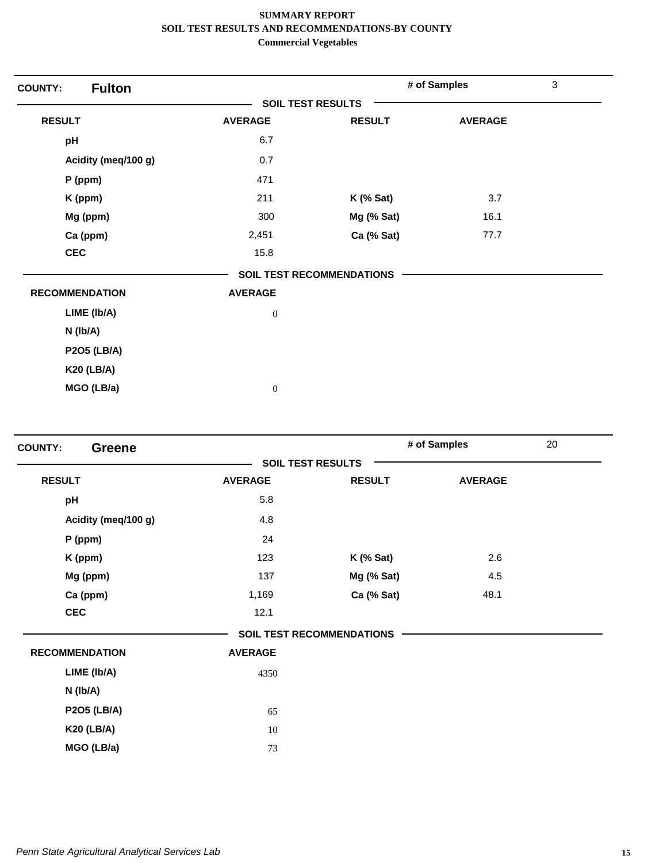| <b>Fulton</b><br><b>COUNTY:</b> |                          |                                  | # of Samples   | $\mathfrak{Z}$ |
|---------------------------------|--------------------------|----------------------------------|----------------|----------------|
|                                 | <b>SOIL TEST RESULTS</b> |                                  |                |                |
| <b>RESULT</b>                   | <b>AVERAGE</b>           | <b>RESULT</b>                    | <b>AVERAGE</b> |                |
| pH                              | 6.7                      |                                  |                |                |
| Acidity (meq/100 g)             | 0.7                      |                                  |                |                |
| P (ppm)                         | 471                      |                                  |                |                |
| K (ppm)                         | 211                      | $K$ (% Sat)                      | 3.7            |                |
| Mg (ppm)                        | 300                      | Mg (% Sat)                       | 16.1           |                |
| Ca (ppm)                        | 2,451                    | Ca (% Sat)                       | 77.7           |                |
| <b>CEC</b>                      | 15.8                     |                                  |                |                |
|                                 |                          | <b>SOIL TEST RECOMMENDATIONS</b> |                |                |
| <b>RECOMMENDATION</b>           | <b>AVERAGE</b>           |                                  |                |                |
| LIME (Ib/A)                     | $\boldsymbol{0}$         |                                  |                |                |
| N (Ib/A)                        |                          |                                  |                |                |
| <b>P2O5 (LB/A)</b>              |                          |                                  |                |                |
| <b>K20 (LB/A)</b>               |                          |                                  |                |                |
| MGO (LB/a)                      | $\boldsymbol{0}$         |                                  |                |                |

| <b>COUNTY:</b><br><b>Greene</b> |                |                                  | # of Samples   | 20 |
|---------------------------------|----------------|----------------------------------|----------------|----|
|                                 |                | <b>SOIL TEST RESULTS</b>         |                |    |
| <b>RESULT</b>                   | <b>AVERAGE</b> | <b>RESULT</b>                    | <b>AVERAGE</b> |    |
| pH                              | 5.8            |                                  |                |    |
| Acidity (meq/100 g)             | 4.8            |                                  |                |    |
| $P$ (ppm)                       | 24             |                                  |                |    |
| K (ppm)                         | 123            | $K$ (% Sat)                      | 2.6            |    |
| Mg (ppm)                        | 137            | Mg (% Sat)                       | 4.5            |    |
| Ca (ppm)                        | 1,169          | Ca (% Sat)                       | 48.1           |    |
| <b>CEC</b>                      | 12.1           |                                  |                |    |
|                                 |                | <b>SOIL TEST RECOMMENDATIONS</b> |                |    |
| <b>RECOMMENDATION</b>           | <b>AVERAGE</b> |                                  |                |    |
| LIME (Ib/A)                     | 4350           |                                  |                |    |
| $N$ (lb/A)                      |                |                                  |                |    |
| <b>P2O5 (LB/A)</b>              | 65             |                                  |                |    |
| <b>K20 (LB/A)</b>               | 10             |                                  |                |    |
| MGO (LB/a)                      | 73             |                                  |                |    |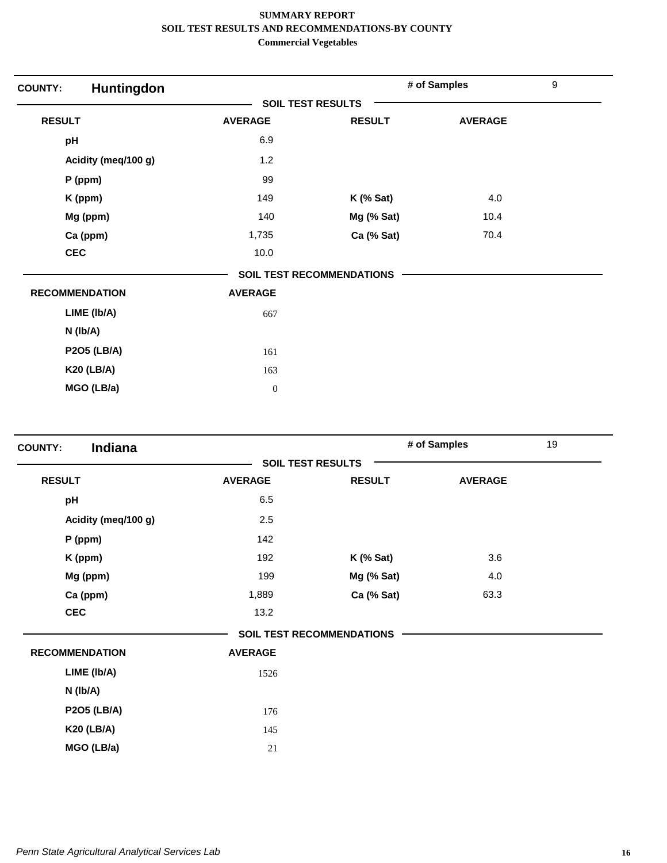| Huntingdon<br><b>COUNTY:</b> |                  |                                  | # of Samples   | $\boldsymbol{9}$ |
|------------------------------|------------------|----------------------------------|----------------|------------------|
|                              |                  | <b>SOIL TEST RESULTS</b>         |                |                  |
| <b>RESULT</b>                | <b>AVERAGE</b>   | <b>RESULT</b>                    | <b>AVERAGE</b> |                  |
| pH                           | 6.9              |                                  |                |                  |
| Acidity (meq/100 g)          | 1.2              |                                  |                |                  |
| P (ppm)                      | 99               |                                  |                |                  |
| K (ppm)                      | 149              | $K$ (% Sat)                      | 4.0            |                  |
| Mg (ppm)                     | 140              | Mg (% Sat)                       | 10.4           |                  |
| Ca (ppm)                     | 1,735            | Ca (% Sat)                       | 70.4           |                  |
| <b>CEC</b>                   | 10.0             |                                  |                |                  |
|                              |                  | <b>SOIL TEST RECOMMENDATIONS</b> |                |                  |
| <b>RECOMMENDATION</b>        | <b>AVERAGE</b>   |                                  |                |                  |
| LIME (Ib/A)                  | 667              |                                  |                |                  |
| N (Ib/A)                     |                  |                                  |                |                  |
| <b>P2O5 (LB/A)</b>           | 161              |                                  |                |                  |
| <b>K20 (LB/A)</b>            | 163              |                                  |                |                  |
| MGO (LB/a)                   | $\boldsymbol{0}$ |                                  |                |                  |

| Indiana<br><b>COUNTY:</b> |                |                                  | # of Samples   | 19 |
|---------------------------|----------------|----------------------------------|----------------|----|
|                           |                | <b>SOIL TEST RESULTS</b>         |                |    |
| <b>RESULT</b>             | <b>AVERAGE</b> | <b>RESULT</b>                    | <b>AVERAGE</b> |    |
| pH                        | 6.5            |                                  |                |    |
| Acidity (meg/100 g)       | 2.5            |                                  |                |    |
| P (ppm)                   | 142            |                                  |                |    |
| K (ppm)                   | 192            | $K$ (% Sat)                      | 3.6            |    |
| Mg (ppm)                  | 199            | Mg (% Sat)                       | 4.0            |    |
| Ca (ppm)                  | 1,889          | Ca (% Sat)                       | 63.3           |    |
| <b>CEC</b>                | 13.2           |                                  |                |    |
|                           |                | <b>SOIL TEST RECOMMENDATIONS</b> |                |    |
| <b>RECOMMENDATION</b>     | <b>AVERAGE</b> |                                  |                |    |
| LIME (Ib/A)               | 1526           |                                  |                |    |
| $N$ (lb/A)                |                |                                  |                |    |
| <b>P2O5 (LB/A)</b>        | 176            |                                  |                |    |
| <b>K20 (LB/A)</b>         | 145            |                                  |                |    |
| MGO (LB/a)                | 21             |                                  |                |    |
|                           |                |                                  |                |    |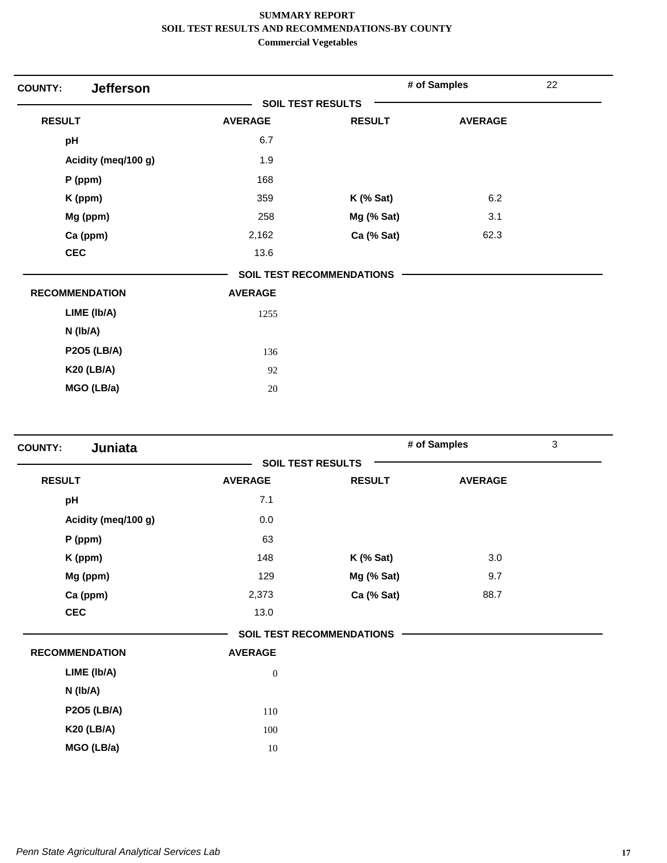| <b>Jefferson</b><br><b>COUNTY:</b> |                |                                  | # of Samples   | 22 |
|------------------------------------|----------------|----------------------------------|----------------|----|
|                                    |                | <b>SOIL TEST RESULTS</b>         |                |    |
| <b>RESULT</b>                      | <b>AVERAGE</b> | <b>RESULT</b>                    | <b>AVERAGE</b> |    |
| pH                                 | 6.7            |                                  |                |    |
| Acidity (meq/100 g)                | 1.9            |                                  |                |    |
| $P$ (ppm)                          | 168            |                                  |                |    |
| K (ppm)                            | 359            | $K$ (% Sat)                      | 6.2            |    |
| Mg (ppm)                           | 258            | Mg (% Sat)                       | 3.1            |    |
| Ca (ppm)                           | 2,162          | Ca (% Sat)                       | 62.3           |    |
| <b>CEC</b>                         | 13.6           |                                  |                |    |
|                                    |                | <b>SOIL TEST RECOMMENDATIONS</b> |                |    |
| <b>RECOMMENDATION</b>              | <b>AVERAGE</b> |                                  |                |    |
| LIME (Ib/A)                        | 1255           |                                  |                |    |
| $N$ ( $lb/A$ )                     |                |                                  |                |    |
| <b>P2O5 (LB/A)</b>                 | 136            |                                  |                |    |
| <b>K20 (LB/A)</b>                  | 92             |                                  |                |    |
| MGO (LB/a)                         | 20             |                                  |                |    |
|                                    |                |                                  |                |    |

| Juniata<br><b>COUNTY:</b> |                |                                  | # of Samples   | $\mathfrak{S}$ |
|---------------------------|----------------|----------------------------------|----------------|----------------|
|                           |                | <b>SOIL TEST RESULTS</b>         |                |                |
| <b>RESULT</b>             | <b>AVERAGE</b> | <b>RESULT</b>                    | <b>AVERAGE</b> |                |
| pH                        | 7.1            |                                  |                |                |
| Acidity (meq/100 g)       | 0.0            |                                  |                |                |
| P (ppm)                   | 63             |                                  |                |                |
| K (ppm)                   | 148            | $K$ (% Sat)                      | 3.0            |                |
| Mg (ppm)                  | 129            | Mg (% Sat)                       | 9.7            |                |
| Ca (ppm)                  | 2,373          | Ca (% Sat)                       | 88.7           |                |
| <b>CEC</b>                | 13.0           |                                  |                |                |
|                           |                | <b>SOIL TEST RECOMMENDATIONS</b> |                |                |
| <b>RECOMMENDATION</b>     | <b>AVERAGE</b> |                                  |                |                |
| LIME (Ib/A)               | $\mathbf{0}$   |                                  |                |                |
| $N$ ( $lb/A$ )            |                |                                  |                |                |
| <b>P2O5 (LB/A)</b>        | 110            |                                  |                |                |
| <b>K20 (LB/A)</b>         | 100            |                                  |                |                |
| MGO (LB/a)                | 10             |                                  |                |                |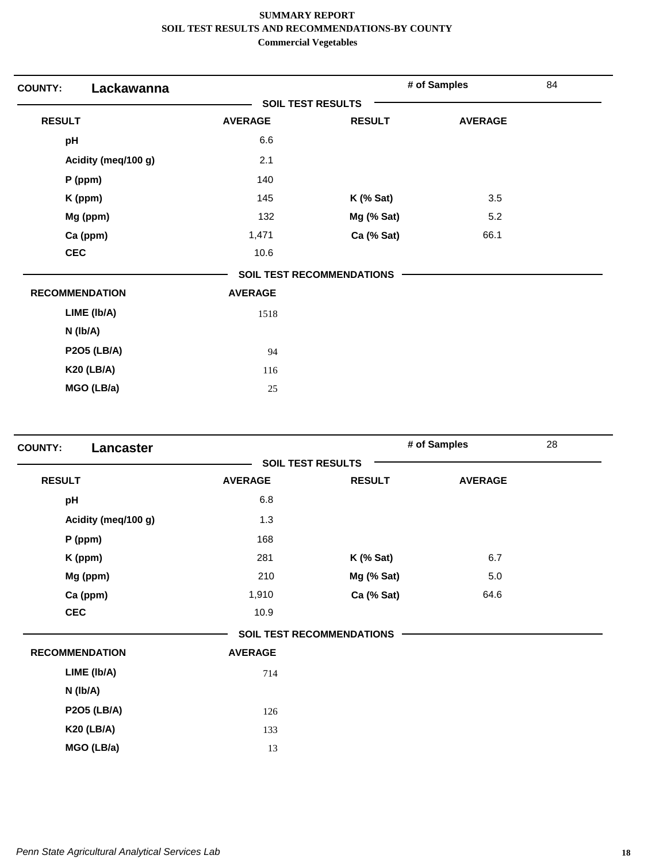| Lackawanna<br><b>COUNTY:</b> |                |                                  | # of Samples   | 84 |
|------------------------------|----------------|----------------------------------|----------------|----|
|                              |                | <b>SOIL TEST RESULTS</b>         |                |    |
| <b>RESULT</b>                | <b>AVERAGE</b> | <b>RESULT</b>                    | <b>AVERAGE</b> |    |
| pH                           | 6.6            |                                  |                |    |
| Acidity (meq/100 g)          | 2.1            |                                  |                |    |
| P (ppm)                      | 140            |                                  |                |    |
| K (ppm)                      | 145            | $K$ (% Sat)                      | 3.5            |    |
| Mg (ppm)                     | 132            | Mg (% Sat)                       | 5.2            |    |
| Ca (ppm)                     | 1,471          | Ca (% Sat)                       | 66.1           |    |
| <b>CEC</b>                   | 10.6           |                                  |                |    |
|                              |                | <b>SOIL TEST RECOMMENDATIONS</b> |                |    |
| <b>RECOMMENDATION</b>        | <b>AVERAGE</b> |                                  |                |    |
| LIME (Ib/A)                  | 1518           |                                  |                |    |
| N (Ib/A)                     |                |                                  |                |    |
| <b>P2O5 (LB/A)</b>           | 94             |                                  |                |    |
| <b>K20 (LB/A)</b>            | 116            |                                  |                |    |
| MGO (LB/a)                   | 25             |                                  |                |    |

| <b>COUNTY:</b><br>Lancaster |                |                                  | # of Samples   | 28 |
|-----------------------------|----------------|----------------------------------|----------------|----|
|                             |                | <b>SOIL TEST RESULTS</b>         |                |    |
| <b>RESULT</b>               | <b>AVERAGE</b> | <b>RESULT</b>                    | <b>AVERAGE</b> |    |
| pH                          | 6.8            |                                  |                |    |
| Acidity (meq/100 g)         | 1.3            |                                  |                |    |
| $P$ (ppm)                   | 168            |                                  |                |    |
| K (ppm)                     | 281            | $K$ (% Sat)                      | 6.7            |    |
| Mg (ppm)                    | 210            | Mg (% Sat)                       | 5.0            |    |
| Ca (ppm)                    | 1,910          | Ca (% Sat)                       | 64.6           |    |
| <b>CEC</b>                  | 10.9           |                                  |                |    |
|                             |                | <b>SOIL TEST RECOMMENDATIONS</b> |                |    |
| <b>RECOMMENDATION</b>       | <b>AVERAGE</b> |                                  |                |    |
| LIME (Ib/A)                 | 714            |                                  |                |    |
| N (Ib/A)                    |                |                                  |                |    |
| <b>P2O5 (LB/A)</b>          | 126            |                                  |                |    |
| <b>K20 (LB/A)</b>           | 133            |                                  |                |    |
| MGO (LB/a)                  | 13             |                                  |                |    |
|                             |                |                                  |                |    |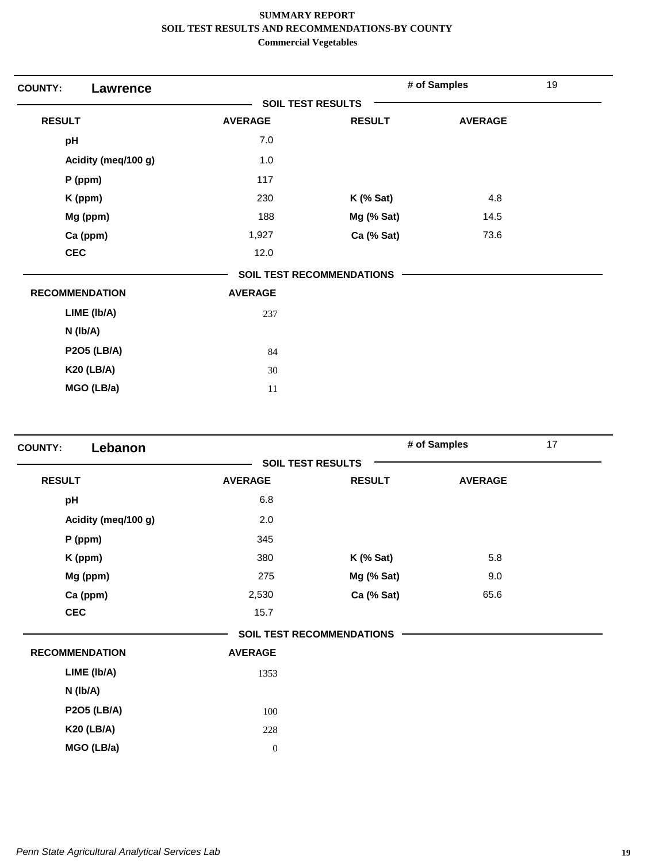| <b>COUNTY:</b><br><b>Lawrence</b> |                          |                                  | # of Samples   | 19 |
|-----------------------------------|--------------------------|----------------------------------|----------------|----|
|                                   | <b>SOIL TEST RESULTS</b> |                                  |                |    |
| <b>RESULT</b>                     | <b>AVERAGE</b>           | <b>RESULT</b>                    | <b>AVERAGE</b> |    |
| pH                                | 7.0                      |                                  |                |    |
| Acidity (meq/100 g)               | 1.0                      |                                  |                |    |
| P (ppm)                           | 117                      |                                  |                |    |
| K (ppm)                           | 230                      | $K$ (% Sat)                      | 4.8            |    |
| Mg (ppm)                          | 188                      | Mg (% Sat)                       | 14.5           |    |
| Ca (ppm)                          | 1,927                    | Ca (% Sat)                       | 73.6           |    |
| <b>CEC</b>                        | 12.0                     |                                  |                |    |
|                                   |                          | <b>SOIL TEST RECOMMENDATIONS</b> |                |    |
| <b>RECOMMENDATION</b>             | <b>AVERAGE</b>           |                                  |                |    |
| LIME (Ib/A)                       | 237                      |                                  |                |    |
| N (Ib/A)                          |                          |                                  |                |    |
| <b>P2O5 (LB/A)</b>                | 84                       |                                  |                |    |
| <b>K20 (LB/A)</b>                 | 30                       |                                  |                |    |
| MGO (LB/a)                        | 11                       |                                  |                |    |

| Lebanon<br><b>COUNTY:</b> |                  |                                  | # of Samples   | 17 |
|---------------------------|------------------|----------------------------------|----------------|----|
|                           |                  | <b>SOIL TEST RESULTS</b>         |                |    |
| <b>RESULT</b>             | <b>AVERAGE</b>   | <b>RESULT</b>                    | <b>AVERAGE</b> |    |
| pH                        | 6.8              |                                  |                |    |
| Acidity (meq/100 g)       | 2.0              |                                  |                |    |
| $P$ (ppm)                 | 345              |                                  |                |    |
| K (ppm)                   | 380              | $K$ (% Sat)                      | 5.8            |    |
| Mg (ppm)                  | 275              | Mg (% Sat)                       | 9.0            |    |
| Ca (ppm)                  | 2,530            | Ca (% Sat)                       | 65.6           |    |
| <b>CEC</b>                | 15.7             |                                  |                |    |
|                           |                  | <b>SOIL TEST RECOMMENDATIONS</b> |                |    |
| <b>RECOMMENDATION</b>     | <b>AVERAGE</b>   |                                  |                |    |
| LIME (Ib/A)               | 1353             |                                  |                |    |
| N (Ib/A)                  |                  |                                  |                |    |
| <b>P2O5 (LB/A)</b>        | 100              |                                  |                |    |
| <b>K20 (LB/A)</b>         | 228              |                                  |                |    |
| MGO (LB/a)                | $\boldsymbol{0}$ |                                  |                |    |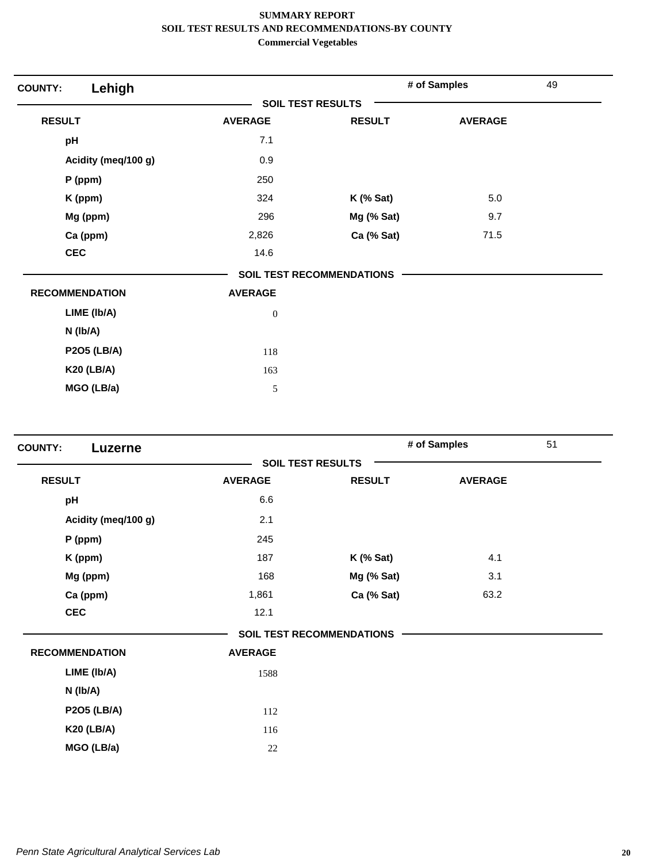| <b>SOIL TEST RESULTS</b><br><b>RESULT</b><br><b>AVERAGE</b><br><b>RESULT</b><br><b>AVERAGE</b><br>7.1<br>pH<br>0.9<br>Acidity (meg/100 g)<br>P (ppm)<br>250<br>5.0<br>324<br>K (ppm)<br>$K$ (% Sat)<br>Mg (ppm)<br>296<br>Mg (% Sat)<br>9.7<br>Ca (ppm)<br>Ca (% Sat)<br>71.5<br>2,826<br><b>CEC</b><br>14.6<br><b>SOIL TEST RECOMMENDATIONS</b><br><b>RECOMMENDATION</b><br><b>AVERAGE</b><br>LIME (Ib/A)<br>$\boldsymbol{0}$<br>$N$ ( $lb/A$ )<br><b>P2O5 (LB/A)</b><br>118<br><b>K20 (LB/A)</b><br>163 | Lehigh<br><b>COUNTY:</b> |  | # of Samples | 49 |
|-----------------------------------------------------------------------------------------------------------------------------------------------------------------------------------------------------------------------------------------------------------------------------------------------------------------------------------------------------------------------------------------------------------------------------------------------------------------------------------------------------------|--------------------------|--|--------------|----|
|                                                                                                                                                                                                                                                                                                                                                                                                                                                                                                           |                          |  |              |    |
|                                                                                                                                                                                                                                                                                                                                                                                                                                                                                                           |                          |  |              |    |
|                                                                                                                                                                                                                                                                                                                                                                                                                                                                                                           |                          |  |              |    |
|                                                                                                                                                                                                                                                                                                                                                                                                                                                                                                           |                          |  |              |    |
|                                                                                                                                                                                                                                                                                                                                                                                                                                                                                                           |                          |  |              |    |
|                                                                                                                                                                                                                                                                                                                                                                                                                                                                                                           |                          |  |              |    |
|                                                                                                                                                                                                                                                                                                                                                                                                                                                                                                           |                          |  |              |    |
|                                                                                                                                                                                                                                                                                                                                                                                                                                                                                                           |                          |  |              |    |
|                                                                                                                                                                                                                                                                                                                                                                                                                                                                                                           |                          |  |              |    |
|                                                                                                                                                                                                                                                                                                                                                                                                                                                                                                           |                          |  |              |    |
|                                                                                                                                                                                                                                                                                                                                                                                                                                                                                                           |                          |  |              |    |
|                                                                                                                                                                                                                                                                                                                                                                                                                                                                                                           |                          |  |              |    |
|                                                                                                                                                                                                                                                                                                                                                                                                                                                                                                           |                          |  |              |    |
|                                                                                                                                                                                                                                                                                                                                                                                                                                                                                                           |                          |  |              |    |
|                                                                                                                                                                                                                                                                                                                                                                                                                                                                                                           |                          |  |              |    |
| MGO (LB/a)<br>5                                                                                                                                                                                                                                                                                                                                                                                                                                                                                           |                          |  |              |    |

| <b>SOIL TEST RESULTS</b><br><b>RESULT</b><br><b>RESULT</b><br><b>AVERAGE</b><br><b>AVERAGE</b><br>pH<br>6.6<br>Acidity (meq/100 g)<br>2.1<br>245<br>$P$ (ppm)<br>187<br>4.1<br><b>K</b> (% Sat)<br>K (ppm)<br>168<br>3.1<br>Mg (ppm)<br>Mg (% Sat)<br>Ca (ppm)<br>Ca (% Sat)<br>63.2<br>1,861<br><b>CEC</b><br>12.1<br><b>SOIL TEST RECOMMENDATIONS</b><br><b>RECOMMENDATION</b><br><b>AVERAGE</b><br>LIME (Ib/A)<br>1588<br>N (Ib/A) | <b>COUNTY:</b><br>Luzerne |  | # of Samples | 51 |
|---------------------------------------------------------------------------------------------------------------------------------------------------------------------------------------------------------------------------------------------------------------------------------------------------------------------------------------------------------------------------------------------------------------------------------------|---------------------------|--|--------------|----|
|                                                                                                                                                                                                                                                                                                                                                                                                                                       |                           |  |              |    |
|                                                                                                                                                                                                                                                                                                                                                                                                                                       |                           |  |              |    |
|                                                                                                                                                                                                                                                                                                                                                                                                                                       |                           |  |              |    |
|                                                                                                                                                                                                                                                                                                                                                                                                                                       |                           |  |              |    |
|                                                                                                                                                                                                                                                                                                                                                                                                                                       |                           |  |              |    |
|                                                                                                                                                                                                                                                                                                                                                                                                                                       |                           |  |              |    |
|                                                                                                                                                                                                                                                                                                                                                                                                                                       |                           |  |              |    |
|                                                                                                                                                                                                                                                                                                                                                                                                                                       |                           |  |              |    |
|                                                                                                                                                                                                                                                                                                                                                                                                                                       |                           |  |              |    |
|                                                                                                                                                                                                                                                                                                                                                                                                                                       |                           |  |              |    |
|                                                                                                                                                                                                                                                                                                                                                                                                                                       |                           |  |              |    |
|                                                                                                                                                                                                                                                                                                                                                                                                                                       |                           |  |              |    |
|                                                                                                                                                                                                                                                                                                                                                                                                                                       |                           |  |              |    |
| <b>P2O5 (LB/A)</b><br>112                                                                                                                                                                                                                                                                                                                                                                                                             |                           |  |              |    |
| <b>K20 (LB/A)</b><br>116                                                                                                                                                                                                                                                                                                                                                                                                              |                           |  |              |    |
| MGO (LB/a)<br>22                                                                                                                                                                                                                                                                                                                                                                                                                      |                           |  |              |    |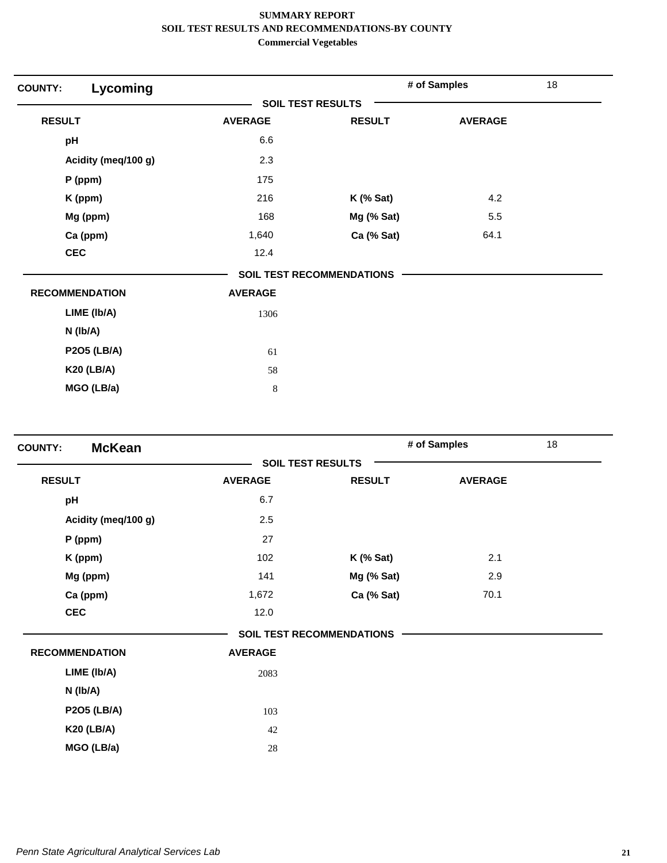| <b>COUNTY:</b> | Lycoming              |                          |                                  | # of Samples   | 18 |
|----------------|-----------------------|--------------------------|----------------------------------|----------------|----|
|                |                       | <b>SOIL TEST RESULTS</b> |                                  |                |    |
| <b>RESULT</b>  |                       | <b>AVERAGE</b>           | <b>RESULT</b>                    | <b>AVERAGE</b> |    |
| pH             |                       | 6.6                      |                                  |                |    |
|                | Acidity (meg/100 g)   | 2.3                      |                                  |                |    |
|                | P (ppm)               | 175                      |                                  |                |    |
|                | K (ppm)               | 216                      | $K$ (% Sat)                      | 4.2            |    |
|                | Mg (ppm)              | 168                      | Mg (% Sat)                       | 5.5            |    |
|                | Ca (ppm)              | 1,640                    | Ca (% Sat)                       | 64.1           |    |
|                | <b>CEC</b>            | 12.4                     |                                  |                |    |
|                |                       |                          | <b>SOIL TEST RECOMMENDATIONS</b> |                |    |
|                | <b>RECOMMENDATION</b> | <b>AVERAGE</b>           |                                  |                |    |
|                | LIME (Ib/A)           | 1306                     |                                  |                |    |
|                | $N$ ( $lb/A$ )        |                          |                                  |                |    |
|                | <b>P2O5 (LB/A)</b>    | 61                       |                                  |                |    |
|                | <b>K20 (LB/A)</b>     | 58                       |                                  |                |    |
|                | MGO (LB/a)            | $\,$ 8 $\,$              |                                  |                |    |
|                |                       |                          |                                  |                |    |

| <b>McKean</b><br><b>COUNTY:</b> |                |                                  | # of Samples   | 18 |
|---------------------------------|----------------|----------------------------------|----------------|----|
|                                 |                | <b>SOIL TEST RESULTS</b>         |                |    |
| <b>RESULT</b>                   | <b>AVERAGE</b> | <b>RESULT</b>                    | <b>AVERAGE</b> |    |
| pH                              | 6.7            |                                  |                |    |
| Acidity (meq/100 g)             | 2.5            |                                  |                |    |
| P (ppm)                         | 27             |                                  |                |    |
| K (ppm)                         | 102            | $K$ (% Sat)                      | 2.1            |    |
| Mg (ppm)                        | 141            | Mg (% Sat)                       | 2.9            |    |
| Ca (ppm)                        | 1,672          | Ca (% Sat)                       | 70.1           |    |
| <b>CEC</b>                      | 12.0           |                                  |                |    |
|                                 |                | <b>SOIL TEST RECOMMENDATIONS</b> |                |    |
| <b>RECOMMENDATION</b>           | <b>AVERAGE</b> |                                  |                |    |
| LIME (Ib/A)                     | 2083           |                                  |                |    |
| N (Ib/A)                        |                |                                  |                |    |
| <b>P2O5 (LB/A)</b>              | 103            |                                  |                |    |
| <b>K20 (LB/A)</b>               | 42             |                                  |                |    |
| MGO (LB/a)                      | 28             |                                  |                |    |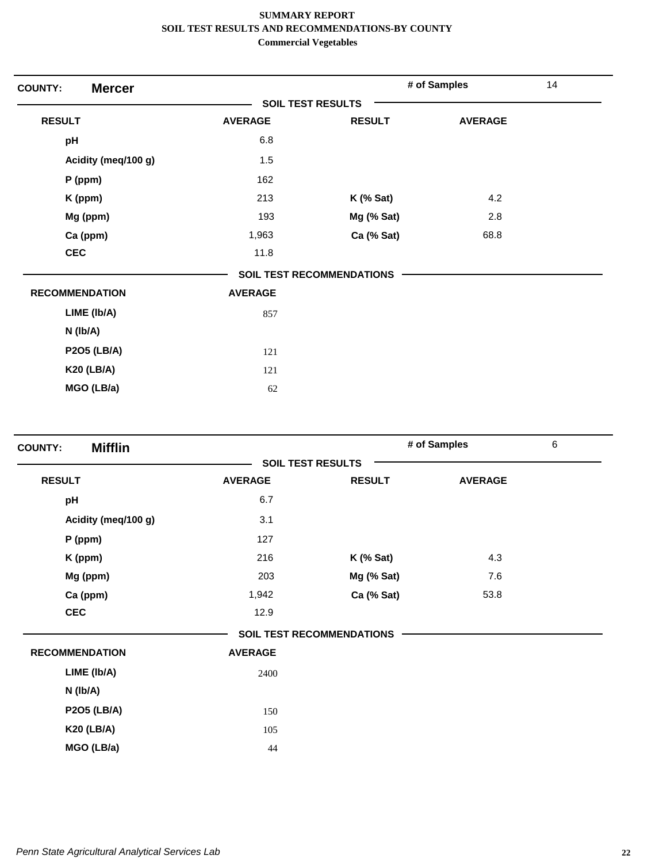| <b>Mercer</b><br><b>COUNTY:</b> |                          |                                  | # of Samples   | 14 |
|---------------------------------|--------------------------|----------------------------------|----------------|----|
|                                 | <b>SOIL TEST RESULTS</b> |                                  |                |    |
| <b>RESULT</b>                   | <b>AVERAGE</b>           | <b>RESULT</b>                    | <b>AVERAGE</b> |    |
| pH                              | 6.8                      |                                  |                |    |
| Acidity (meg/100 g)             | 1.5                      |                                  |                |    |
| P (ppm)                         | 162                      |                                  |                |    |
| K (ppm)                         | 213                      | $K$ (% Sat)                      | 4.2            |    |
| Mg (ppm)                        | 193                      | Mg (% Sat)                       | 2.8            |    |
| Ca (ppm)                        | 1,963                    | Ca (% Sat)                       | 68.8           |    |
| <b>CEC</b>                      | 11.8                     |                                  |                |    |
|                                 |                          | <b>SOIL TEST RECOMMENDATIONS</b> |                |    |
| <b>RECOMMENDATION</b>           | <b>AVERAGE</b>           |                                  |                |    |
| LIME (Ib/A)                     | 857                      |                                  |                |    |
| $N$ ( $lb/A$ )                  |                          |                                  |                |    |
| <b>P2O5 (LB/A)</b>              | 121                      |                                  |                |    |
| <b>K20 (LB/A)</b>               | 121                      |                                  |                |    |
| MGO (LB/a)                      | 62                       |                                  |                |    |
|                                 |                          |                                  |                |    |

| <b>Mifflin</b><br><b>COUNTY:</b> |                |                                  | # of Samples   | $\,6\,$ |
|----------------------------------|----------------|----------------------------------|----------------|---------|
|                                  |                | <b>SOIL TEST RESULTS</b>         |                |         |
| <b>RESULT</b>                    | <b>AVERAGE</b> | <b>RESULT</b>                    | <b>AVERAGE</b> |         |
| pH                               | 6.7            |                                  |                |         |
| Acidity (meq/100 g)              | 3.1            |                                  |                |         |
| $P$ (ppm)                        | 127            |                                  |                |         |
| K (ppm)                          | 216            | $K$ (% Sat)                      | 4.3            |         |
| Mg (ppm)                         | 203            | Mg (% Sat)                       | 7.6            |         |
| Ca (ppm)                         | 1,942          | Ca (% Sat)                       | 53.8           |         |
| <b>CEC</b>                       | 12.9           |                                  |                |         |
|                                  |                | <b>SOIL TEST RECOMMENDATIONS</b> |                |         |
| <b>RECOMMENDATION</b>            | <b>AVERAGE</b> |                                  |                |         |
| LIME (Ib/A)                      | 2400           |                                  |                |         |
| N (Ib/A)                         |                |                                  |                |         |
| <b>P2O5 (LB/A)</b>               | 150            |                                  |                |         |
| <b>K20 (LB/A)</b>                | 105            |                                  |                |         |
| MGO (LB/a)                       | 44             |                                  |                |         |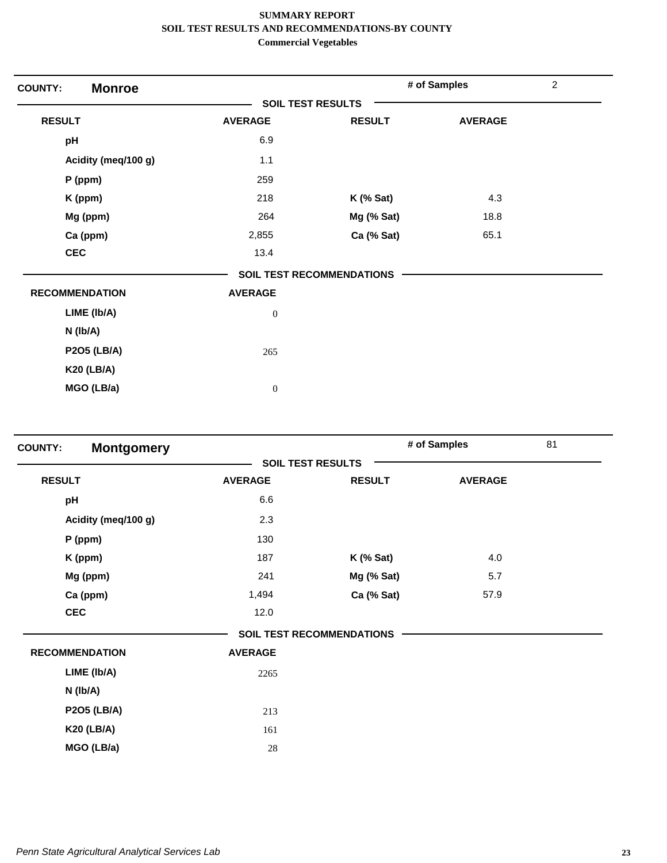| <b>Monroe</b><br><b>COUNTY:</b> |                          |                                  | # of Samples   | $\overline{2}$ |
|---------------------------------|--------------------------|----------------------------------|----------------|----------------|
|                                 | <b>SOIL TEST RESULTS</b> |                                  |                |                |
| <b>RESULT</b>                   | <b>AVERAGE</b>           | <b>RESULT</b>                    | <b>AVERAGE</b> |                |
| pH                              | 6.9                      |                                  |                |                |
| Acidity (meq/100 g)             | 1.1                      |                                  |                |                |
| P (ppm)                         | 259                      |                                  |                |                |
| K (ppm)                         | 218                      | $K$ (% Sat)                      | 4.3            |                |
| Mg (ppm)                        | 264                      | Mg (% Sat)                       | 18.8           |                |
| Ca (ppm)                        | 2,855                    | Ca (% Sat)                       | 65.1           |                |
| <b>CEC</b>                      | 13.4                     |                                  |                |                |
|                                 |                          | <b>SOIL TEST RECOMMENDATIONS</b> |                |                |
| <b>RECOMMENDATION</b>           | <b>AVERAGE</b>           |                                  |                |                |
| LIME (Ib/A)                     | $\boldsymbol{0}$         |                                  |                |                |
| N (Ib/A)                        |                          |                                  |                |                |
| <b>P2O5 (LB/A)</b>              | 265                      |                                  |                |                |
| <b>K20 (LB/A)</b>               |                          |                                  |                |                |
| MGO (LB/a)                      | $\boldsymbol{0}$         |                                  |                |                |

| <b>COUNTY:</b>        | <b>Montgomery</b>   |                          |                                  | # of Samples   | 81 |
|-----------------------|---------------------|--------------------------|----------------------------------|----------------|----|
|                       |                     | <b>SOIL TEST RESULTS</b> |                                  |                |    |
| <b>RESULT</b>         |                     | <b>AVERAGE</b>           | <b>RESULT</b>                    | <b>AVERAGE</b> |    |
| pH                    |                     | 6.6                      |                                  |                |    |
|                       | Acidity (meq/100 g) | 2.3                      |                                  |                |    |
| $P$ (ppm)             |                     | 130                      |                                  |                |    |
|                       | K (ppm)             | 187                      | $K$ (% Sat)                      | 4.0            |    |
|                       | Mg (ppm)            | 241                      | Mg (% Sat)                       | 5.7            |    |
|                       | Ca (ppm)            | 1,494                    | Ca (% Sat)                       | 57.9           |    |
| <b>CEC</b>            |                     | 12.0                     |                                  |                |    |
|                       |                     |                          | <b>SOIL TEST RECOMMENDATIONS</b> |                |    |
| <b>RECOMMENDATION</b> |                     | <b>AVERAGE</b>           |                                  |                |    |
|                       | LIME (Ib/A)         | 2265                     |                                  |                |    |
| N (Ib/A)              |                     |                          |                                  |                |    |
|                       | <b>P2O5 (LB/A)</b>  | 213                      |                                  |                |    |
|                       | <b>K20 (LB/A)</b>   | 161                      |                                  |                |    |
|                       | MGO (LB/a)          | 28                       |                                  |                |    |
|                       |                     |                          |                                  |                |    |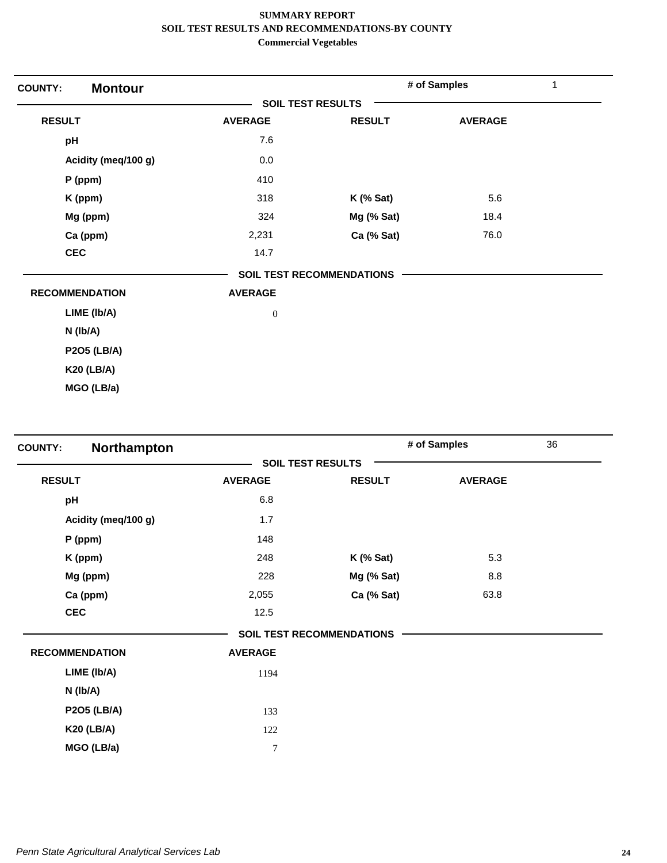| <b>Montour</b><br><b>COUNTY:</b> |                          |                                  | # of Samples   | 1 |
|----------------------------------|--------------------------|----------------------------------|----------------|---|
|                                  | <b>SOIL TEST RESULTS</b> |                                  |                |   |
| <b>RESULT</b>                    | <b>AVERAGE</b>           | <b>RESULT</b>                    | <b>AVERAGE</b> |   |
| pH                               | 7.6                      |                                  |                |   |
| Acidity (meq/100 g)              | 0.0                      |                                  |                |   |
| $P$ (ppm)                        | 410                      |                                  |                |   |
| K (ppm)                          | 318                      | $K$ (% Sat)                      | 5.6            |   |
| Mg (ppm)                         | 324                      | Mg (% Sat)                       | 18.4           |   |
| Ca (ppm)                         | 2,231                    | Ca (% Sat)                       | 76.0           |   |
| <b>CEC</b>                       | 14.7                     |                                  |                |   |
|                                  |                          | <b>SOIL TEST RECOMMENDATIONS</b> |                |   |
| <b>RECOMMENDATION</b>            | <b>AVERAGE</b>           |                                  |                |   |
| LIME (Ib/A)                      | $\boldsymbol{0}$         |                                  |                |   |
| N (Ib/A)                         |                          |                                  |                |   |
| <b>P2O5 (LB/A)</b>               |                          |                                  |                |   |
| <b>K20 (LB/A)</b>                |                          |                                  |                |   |
| MGO (LB/a)                       |                          |                                  |                |   |

| Northampton<br><b>COUNTY:</b> |                |                                  | # of Samples   | 36 |
|-------------------------------|----------------|----------------------------------|----------------|----|
|                               |                | <b>SOIL TEST RESULTS</b>         |                |    |
| <b>RESULT</b>                 | <b>AVERAGE</b> | <b>RESULT</b>                    | <b>AVERAGE</b> |    |
| pH                            | 6.8            |                                  |                |    |
| Acidity (meq/100 g)           | 1.7            |                                  |                |    |
| P (ppm)                       | 148            |                                  |                |    |
| K (ppm)                       | 248            | $K$ (% Sat)                      | 5.3            |    |
| Mg (ppm)                      | 228            | Mg (% Sat)                       | 8.8            |    |
| Ca (ppm)                      | 2,055          | Ca (% Sat)                       | 63.8           |    |
| <b>CEC</b>                    | 12.5           |                                  |                |    |
|                               |                | <b>SOIL TEST RECOMMENDATIONS</b> |                |    |
| <b>RECOMMENDATION</b>         | <b>AVERAGE</b> |                                  |                |    |
| LIME (Ib/A)                   | 1194           |                                  |                |    |
| N (Ib/A)                      |                |                                  |                |    |
| <b>P2O5 (LB/A)</b>            | 133            |                                  |                |    |
| <b>K20 (LB/A)</b>             | 122            |                                  |                |    |
| MGO (LB/a)                    | 7              |                                  |                |    |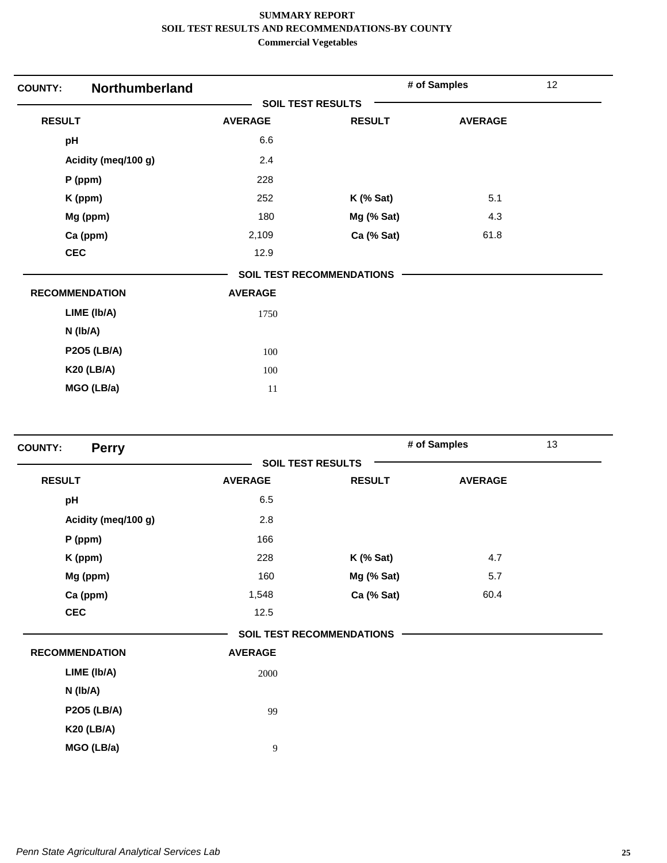| <b>Northumberland</b><br><b>COUNTY:</b> |                |                                  | # of Samples   | 12 |
|-----------------------------------------|----------------|----------------------------------|----------------|----|
|                                         |                | <b>SOIL TEST RESULTS</b>         |                |    |
| <b>RESULT</b>                           | <b>AVERAGE</b> | <b>RESULT</b>                    | <b>AVERAGE</b> |    |
| pH                                      | 6.6            |                                  |                |    |
| Acidity (meq/100 g)                     | 2.4            |                                  |                |    |
| P (ppm)                                 | 228            |                                  |                |    |
| K (ppm)                                 | 252            | <b>K</b> (% Sat)                 | 5.1            |    |
| Mg (ppm)                                | 180            | Mg (% Sat)                       | 4.3            |    |
| Ca (ppm)                                | 2,109          | Ca (% Sat)                       | 61.8           |    |
| <b>CEC</b>                              | 12.9           |                                  |                |    |
|                                         |                | <b>SOIL TEST RECOMMENDATIONS</b> |                |    |
| <b>RECOMMENDATION</b>                   | <b>AVERAGE</b> |                                  |                |    |
| LIME (Ib/A)                             | 1750           |                                  |                |    |
| N (Ib/A)                                |                |                                  |                |    |
| <b>P2O5 (LB/A)</b>                      | 100            |                                  |                |    |
| <b>K20 (LB/A)</b>                       | 100            |                                  |                |    |
| MGO (LB/a)                              | 11             |                                  |                |    |

| <b>Perry</b><br><b>COUNTY:</b> |                |                                  | # of Samples   | 13 |
|--------------------------------|----------------|----------------------------------|----------------|----|
|                                |                | <b>SOIL TEST RESULTS</b>         |                |    |
| <b>RESULT</b>                  | <b>AVERAGE</b> | <b>RESULT</b>                    | <b>AVERAGE</b> |    |
| pH                             | 6.5            |                                  |                |    |
| Acidity (meq/100 g)            | 2.8            |                                  |                |    |
| $P$ (ppm)                      | 166            |                                  |                |    |
| K (ppm)                        | 228            | $K$ (% Sat)                      | 4.7            |    |
| Mg (ppm)                       | 160            | Mg (% Sat)                       | 5.7            |    |
| Ca (ppm)                       | 1,548          | Ca (% Sat)                       | 60.4           |    |
| <b>CEC</b>                     | 12.5           |                                  |                |    |
|                                |                | <b>SOIL TEST RECOMMENDATIONS</b> |                |    |
| <b>RECOMMENDATION</b>          | <b>AVERAGE</b> |                                  |                |    |
| LIME (Ib/A)                    | 2000           |                                  |                |    |
| N (Ib/A)                       |                |                                  |                |    |
| <b>P2O5 (LB/A)</b>             | 99             |                                  |                |    |
| <b>K20 (LB/A)</b>              |                |                                  |                |    |
| MGO (LB/a)                     | 9              |                                  |                |    |
|                                |                |                                  |                |    |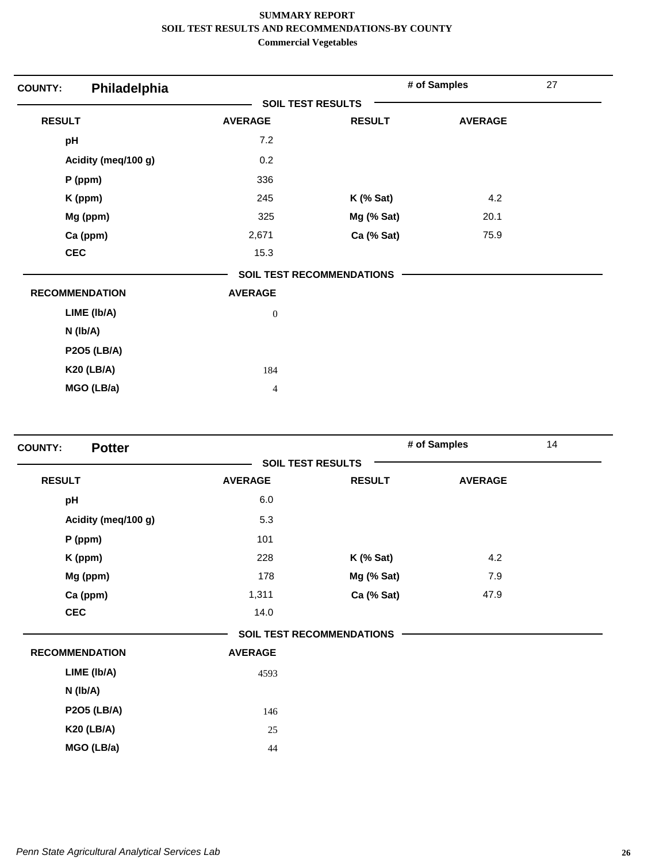| Philadelphia<br><b>COUNTY:</b> |                          |                                  | # of Samples   | 27 |
|--------------------------------|--------------------------|----------------------------------|----------------|----|
|                                | <b>SOIL TEST RESULTS</b> |                                  |                |    |
| <b>RESULT</b>                  | <b>AVERAGE</b>           | <b>RESULT</b>                    | <b>AVERAGE</b> |    |
| pH                             | 7.2                      |                                  |                |    |
| Acidity (meq/100 g)            | 0.2                      |                                  |                |    |
| P (ppm)                        | 336                      |                                  |                |    |
| K (ppm)                        | 245                      | $K$ (% Sat)                      | 4.2            |    |
| Mg (ppm)                       | 325                      | Mg (% Sat)                       | 20.1           |    |
| Ca (ppm)                       | 2,671                    | Ca (% Sat)                       | 75.9           |    |
| <b>CEC</b>                     | 15.3                     |                                  |                |    |
|                                |                          | <b>SOIL TEST RECOMMENDATIONS</b> |                |    |
| <b>RECOMMENDATION</b>          | <b>AVERAGE</b>           |                                  |                |    |
| LIME (Ib/A)                    | $\boldsymbol{0}$         |                                  |                |    |
| N (Ib/A)                       |                          |                                  |                |    |
| <b>P2O5 (LB/A)</b>             |                          |                                  |                |    |
| <b>K20 (LB/A)</b>              | 184                      |                                  |                |    |
| MGO (LB/a)                     | 4                        |                                  |                |    |

| <b>Potter</b><br><b>COUNTY:</b> |                |                                  | # of Samples   | 14 |
|---------------------------------|----------------|----------------------------------|----------------|----|
|                                 |                | <b>SOIL TEST RESULTS</b>         |                |    |
| <b>RESULT</b>                   | <b>AVERAGE</b> | <b>RESULT</b>                    | <b>AVERAGE</b> |    |
| pH                              | 6.0            |                                  |                |    |
| Acidity (meq/100 g)             | 5.3            |                                  |                |    |
| $P$ (ppm)                       | 101            |                                  |                |    |
| K (ppm)                         | 228            | <b>K</b> (% Sat)                 | 4.2            |    |
| Mg (ppm)                        | 178            | Mg (% Sat)                       | 7.9            |    |
| Ca (ppm)                        | 1,311          | Ca (% Sat)                       | 47.9           |    |
| <b>CEC</b>                      | 14.0           |                                  |                |    |
|                                 |                | <b>SOIL TEST RECOMMENDATIONS</b> |                |    |
| <b>RECOMMENDATION</b>           | <b>AVERAGE</b> |                                  |                |    |
| LIME (Ib/A)                     | 4593           |                                  |                |    |
| N (lb/A)                        |                |                                  |                |    |
| <b>P2O5 (LB/A)</b>              | 146            |                                  |                |    |
| <b>K20 (LB/A)</b>               | 25             |                                  |                |    |
| MGO (LB/a)                      | 44             |                                  |                |    |
|                                 |                |                                  |                |    |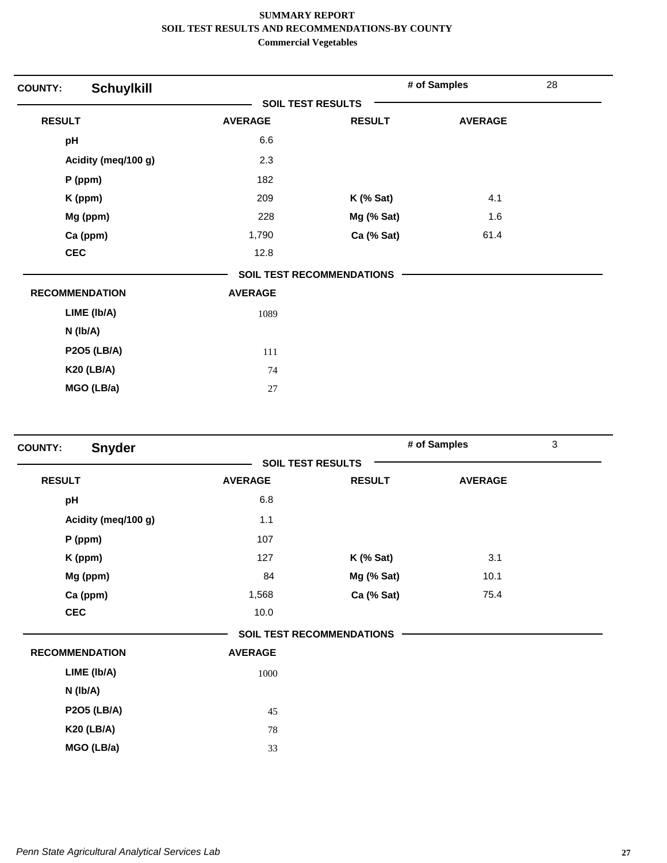| <b>COUNTY:</b>        | <b>Schuylkill</b>   |                          |                           | # of Samples   | 28 |
|-----------------------|---------------------|--------------------------|---------------------------|----------------|----|
|                       |                     | <b>SOIL TEST RESULTS</b> |                           |                |    |
| <b>RESULT</b>         |                     | <b>AVERAGE</b>           | <b>RESULT</b>             | <b>AVERAGE</b> |    |
| pH                    |                     | 6.6                      |                           |                |    |
|                       | Acidity (meq/100 g) | 2.3                      |                           |                |    |
| P (ppm)               |                     | 182                      |                           |                |    |
| K (ppm)               |                     | 209                      | $K$ (% Sat)               | 4.1            |    |
| Mg (ppm)              |                     | 228                      | Mg (% Sat)                | 1.6            |    |
| Ca (ppm)              |                     | 1,790                    | Ca (% Sat)                | 61.4           |    |
| <b>CEC</b>            |                     | 12.8                     |                           |                |    |
|                       |                     |                          | SOIL TEST RECOMMENDATIONS |                |    |
| <b>RECOMMENDATION</b> |                     | <b>AVERAGE</b>           |                           |                |    |
|                       | LIME (Ib/A)         | 1089                     |                           |                |    |
| N (Ib/A)              |                     |                          |                           |                |    |
|                       | <b>P2O5 (LB/A)</b>  | 111                      |                           |                |    |
|                       | <b>K20 (LB/A)</b>   | 74                       |                           |                |    |
|                       | MGO (LB/a)          | 27                       |                           |                |    |

| <b>Snyder</b><br><b>COUNTY:</b> |                |                                  | # of Samples   | $\mathfrak{S}$ |
|---------------------------------|----------------|----------------------------------|----------------|----------------|
|                                 |                | <b>SOIL TEST RESULTS</b>         |                |                |
| <b>RESULT</b>                   | <b>AVERAGE</b> | <b>RESULT</b>                    | <b>AVERAGE</b> |                |
| pH                              | 6.8            |                                  |                |                |
| Acidity (meq/100 g)             | 1.1            |                                  |                |                |
| P (ppm)                         | 107            |                                  |                |                |
| K (ppm)                         | 127            | $K$ (% Sat)                      | 3.1            |                |
| Mg (ppm)                        | 84             | Mg (% Sat)                       | 10.1           |                |
| Ca (ppm)                        | 1,568          | Ca (% Sat)                       | 75.4           |                |
| <b>CEC</b>                      | 10.0           |                                  |                |                |
|                                 |                | <b>SOIL TEST RECOMMENDATIONS</b> |                |                |
| <b>RECOMMENDATION</b>           | <b>AVERAGE</b> |                                  |                |                |
| LIME (Ib/A)                     | 1000           |                                  |                |                |
| N (Ib/A)                        |                |                                  |                |                |
| <b>P2O5 (LB/A)</b>              | 45             |                                  |                |                |
| <b>K20 (LB/A)</b>               | 78             |                                  |                |                |
| MGO (LB/a)                      | 33             |                                  |                |                |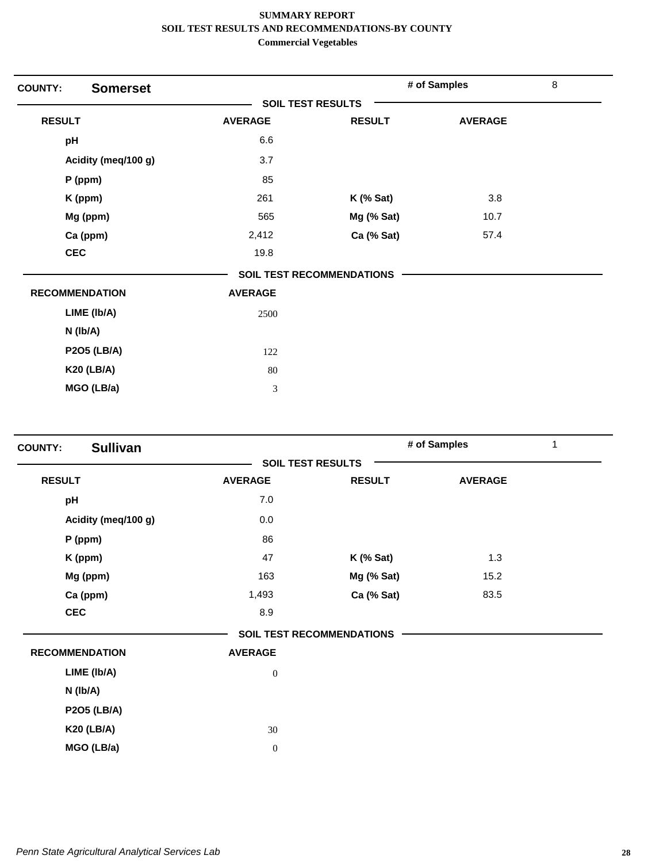| <b>COUNTY:</b> | <b>Somerset</b>       |                          |                                  | # of Samples   | $\,8\,$ |
|----------------|-----------------------|--------------------------|----------------------------------|----------------|---------|
|                |                       | <b>SOIL TEST RESULTS</b> |                                  |                |         |
| <b>RESULT</b>  |                       | <b>AVERAGE</b>           | <b>RESULT</b>                    | <b>AVERAGE</b> |         |
| pH             |                       | 6.6                      |                                  |                |         |
|                | Acidity (meq/100 g)   | 3.7                      |                                  |                |         |
|                | P (ppm)               | 85                       |                                  |                |         |
|                | K (ppm)               | 261                      | $K$ (% Sat)                      | 3.8            |         |
|                | Mg (ppm)              | 565                      | Mg (% Sat)                       | 10.7           |         |
|                | Ca (ppm)              | 2,412                    | Ca (% Sat)                       | 57.4           |         |
|                | <b>CEC</b>            | 19.8                     |                                  |                |         |
|                |                       |                          | <b>SOIL TEST RECOMMENDATIONS</b> |                |         |
|                | <b>RECOMMENDATION</b> | <b>AVERAGE</b>           |                                  |                |         |
|                | LIME (Ib/A)           | 2500                     |                                  |                |         |
|                | N (Ib/A)              |                          |                                  |                |         |
|                | <b>P2O5 (LB/A)</b>    | 122                      |                                  |                |         |
|                | <b>K20 (LB/A)</b>     | 80                       |                                  |                |         |
|                | MGO (LB/a)            | 3                        |                                  |                |         |
|                |                       |                          |                                  |                |         |

| <b>Sullivan</b><br><b>COUNTY:</b> |                  |                                  | # of Samples   | 1 |
|-----------------------------------|------------------|----------------------------------|----------------|---|
|                                   |                  | <b>SOIL TEST RESULTS</b>         |                |   |
| <b>RESULT</b>                     | <b>AVERAGE</b>   | <b>RESULT</b>                    | <b>AVERAGE</b> |   |
| pH                                | 7.0              |                                  |                |   |
| Acidity (meq/100 g)               | 0.0              |                                  |                |   |
| P (ppm)                           | 86               |                                  |                |   |
| K (ppm)                           | 47               | $K$ (% Sat)                      | 1.3            |   |
| Mg (ppm)                          | 163              | Mg (% Sat)                       | 15.2           |   |
| Ca (ppm)                          | 1,493            | Ca (% Sat)                       | 83.5           |   |
| <b>CEC</b>                        | 8.9              |                                  |                |   |
|                                   |                  | <b>SOIL TEST RECOMMENDATIONS</b> |                |   |
| <b>RECOMMENDATION</b>             | <b>AVERAGE</b>   |                                  |                |   |
| LIME (Ib/A)                       | $\boldsymbol{0}$ |                                  |                |   |
| $N$ ( $lb/A$ )                    |                  |                                  |                |   |
| <b>P2O5 (LB/A)</b>                |                  |                                  |                |   |
| <b>K20 (LB/A)</b>                 | 30               |                                  |                |   |
| MGO (LB/a)                        | $\boldsymbol{0}$ |                                  |                |   |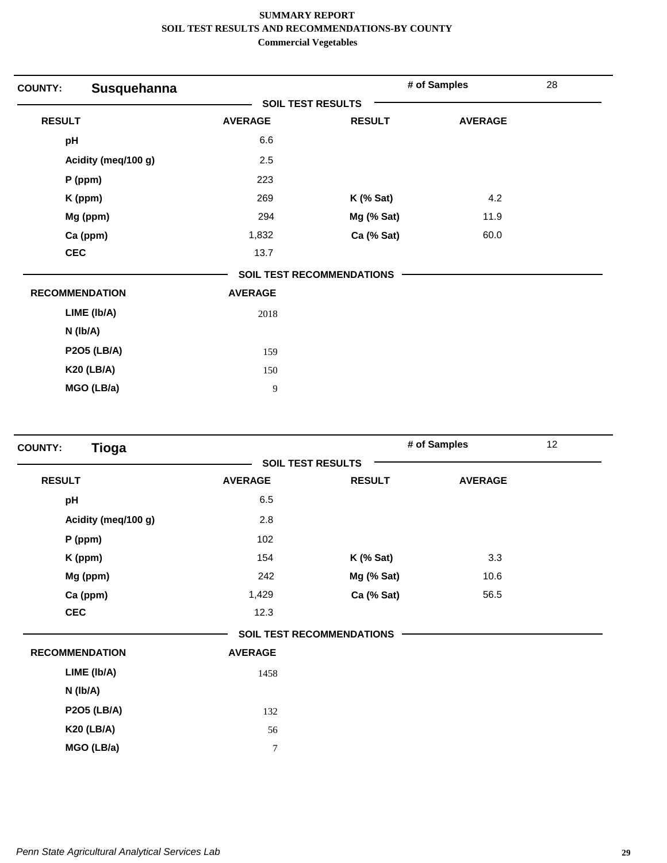| Susquehanna<br><b>COUNTY:</b> |                |                                  | # of Samples   | 28 |
|-------------------------------|----------------|----------------------------------|----------------|----|
|                               |                | <b>SOIL TEST RESULTS</b>         |                |    |
| <b>RESULT</b>                 | <b>AVERAGE</b> | <b>RESULT</b>                    | <b>AVERAGE</b> |    |
| pH                            | 6.6            |                                  |                |    |
| Acidity (meq/100 g)           | 2.5            |                                  |                |    |
| P (ppm)                       | 223            |                                  |                |    |
| K (ppm)                       | 269            | <b>K</b> (% Sat)                 | 4.2            |    |
| Mg (ppm)                      | 294            | Mg (% Sat)                       | 11.9           |    |
| Ca (ppm)                      | 1,832          | Ca (% Sat)                       | 60.0           |    |
| <b>CEC</b>                    | 13.7           |                                  |                |    |
|                               |                | <b>SOIL TEST RECOMMENDATIONS</b> |                |    |
| <b>RECOMMENDATION</b>         | <b>AVERAGE</b> |                                  |                |    |
| LIME (Ib/A)                   | 2018           |                                  |                |    |
| N (Ib/A)                      |                |                                  |                |    |
| <b>P2O5 (LB/A)</b>            | 159            |                                  |                |    |
| <b>K20 (LB/A)</b>             | 150            |                                  |                |    |
| MGO (LB/a)                    | 9              |                                  |                |    |

| <b>Tioga</b><br><b>COUNTY:</b> |                |                                  | # of Samples   | 12 |
|--------------------------------|----------------|----------------------------------|----------------|----|
|                                |                | <b>SOIL TEST RESULTS</b>         |                |    |
| <b>RESULT</b>                  | <b>AVERAGE</b> | <b>RESULT</b>                    | <b>AVERAGE</b> |    |
| pH                             | 6.5            |                                  |                |    |
| Acidity (meq/100 g)            | 2.8            |                                  |                |    |
| $P$ (ppm)                      | 102            |                                  |                |    |
| K (ppm)                        | 154            | $K$ (% Sat)                      | 3.3            |    |
| Mg (ppm)                       | 242            | Mg (% Sat)                       | 10.6           |    |
| Ca (ppm)                       | 1,429          | Ca (% Sat)                       | 56.5           |    |
| <b>CEC</b>                     | 12.3           |                                  |                |    |
|                                |                | <b>SOIL TEST RECOMMENDATIONS</b> |                |    |
| <b>RECOMMENDATION</b>          | <b>AVERAGE</b> |                                  |                |    |
| LIME (Ib/A)                    | 1458           |                                  |                |    |
| N (Ib/A)                       |                |                                  |                |    |
| <b>P2O5 (LB/A)</b>             | 132            |                                  |                |    |
| <b>K20 (LB/A)</b>              | 56             |                                  |                |    |
| MGO (LB/a)                     | 7              |                                  |                |    |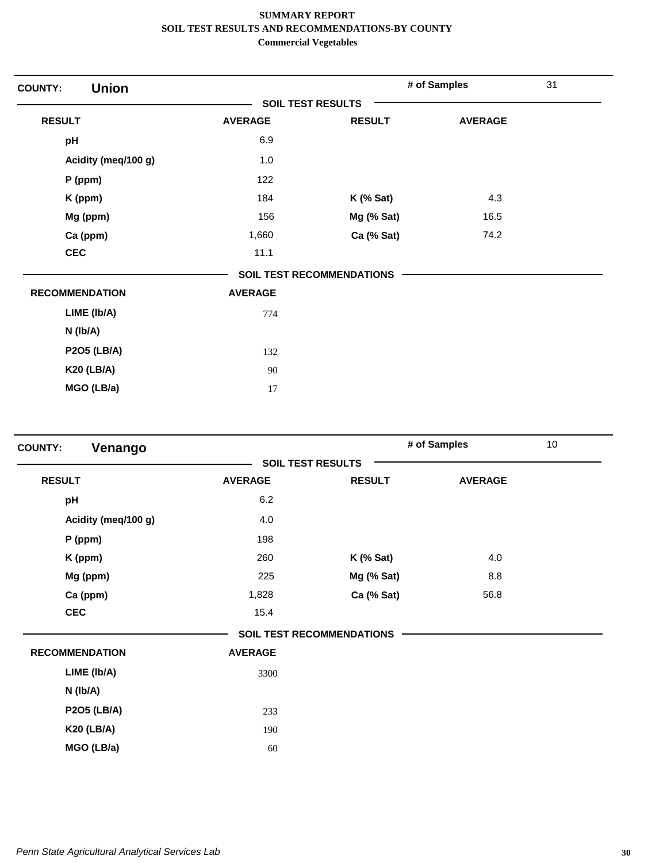| <b>Union</b><br><b>COUNTY:</b> |                          |                                  | # of Samples   | 31 |
|--------------------------------|--------------------------|----------------------------------|----------------|----|
|                                | <b>SOIL TEST RESULTS</b> |                                  |                |    |
| <b>RESULT</b>                  | <b>AVERAGE</b>           | <b>RESULT</b>                    | <b>AVERAGE</b> |    |
| pH                             | 6.9                      |                                  |                |    |
| Acidity (meq/100 g)            | 1.0                      |                                  |                |    |
| P (ppm)                        | 122                      |                                  |                |    |
| K (ppm)                        | 184                      | $K$ (% Sat)                      | 4.3            |    |
| Mg (ppm)                       | 156                      | Mg (% Sat)                       | 16.5           |    |
| Ca (ppm)                       | 1,660                    | Ca (% Sat)                       | 74.2           |    |
| <b>CEC</b>                     | 11.1                     |                                  |                |    |
|                                |                          | <b>SOIL TEST RECOMMENDATIONS</b> |                |    |
| <b>RECOMMENDATION</b>          | <b>AVERAGE</b>           |                                  |                |    |
| LIME (Ib/A)                    | 774                      |                                  |                |    |
| N (Ib/A)                       |                          |                                  |                |    |
| <b>P2O5 (LB/A)</b>             | 132                      |                                  |                |    |
| <b>K20 (LB/A)</b>              | 90                       |                                  |                |    |
| MGO (LB/a)                     | 17                       |                                  |                |    |

| Venango<br><b>COUNTY:</b> |                          |                                  | # of Samples   | 10 |
|---------------------------|--------------------------|----------------------------------|----------------|----|
|                           | <b>SOIL TEST RESULTS</b> |                                  |                |    |
| <b>RESULT</b>             | <b>AVERAGE</b>           | <b>RESULT</b>                    | <b>AVERAGE</b> |    |
| pH                        | 6.2                      |                                  |                |    |
| Acidity (meq/100 g)       | 4.0                      |                                  |                |    |
| P (ppm)                   | 198                      |                                  |                |    |
| K (ppm)                   | 260                      | $K$ (% Sat)                      | 4.0            |    |
| Mg (ppm)                  | 225                      | Mg (% Sat)                       | 8.8            |    |
| Ca (ppm)                  | 1,828                    | Ca (% Sat)                       | 56.8           |    |
| <b>CEC</b>                | 15.4                     |                                  |                |    |
|                           |                          | <b>SOIL TEST RECOMMENDATIONS</b> |                |    |
| <b>RECOMMENDATION</b>     | <b>AVERAGE</b>           |                                  |                |    |
| LIME (Ib/A)               | 3300                     |                                  |                |    |
| N (Ib/A)                  |                          |                                  |                |    |
| <b>P2O5 (LB/A)</b>        | 233                      |                                  |                |    |
| <b>K20 (LB/A)</b>         | 190                      |                                  |                |    |
| MGO (LB/a)                | 60                       |                                  |                |    |
|                           |                          |                                  |                |    |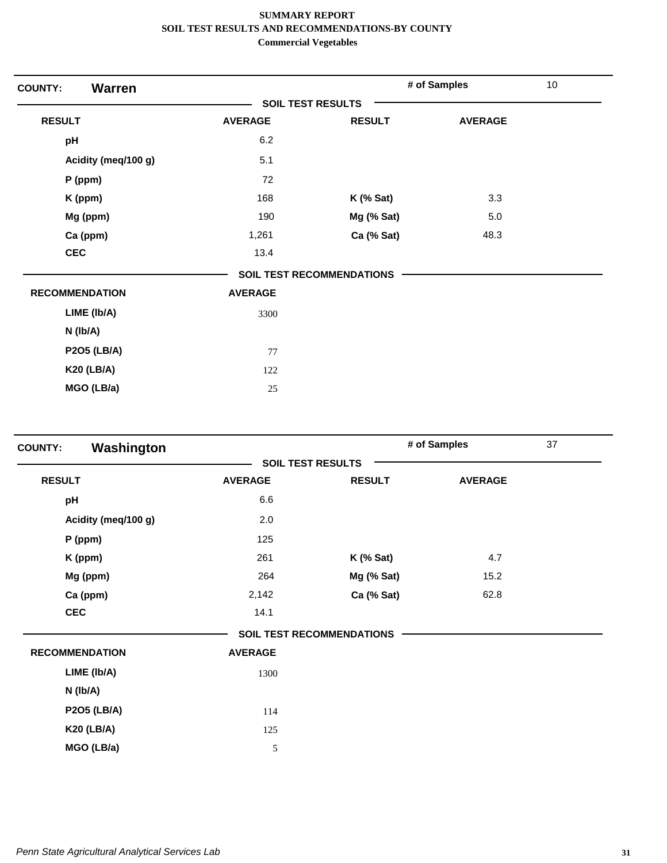| <b>Warren</b><br><b>COUNTY:</b> |                          |                                  | # of Samples   | 10 |
|---------------------------------|--------------------------|----------------------------------|----------------|----|
|                                 | <b>SOIL TEST RESULTS</b> |                                  |                |    |
| <b>RESULT</b>                   | <b>AVERAGE</b>           | <b>RESULT</b>                    | <b>AVERAGE</b> |    |
| pH                              | 6.2                      |                                  |                |    |
| Acidity (meq/100 g)             | 5.1                      |                                  |                |    |
| P (ppm)                         | 72                       |                                  |                |    |
| K (ppm)                         | 168                      | $K$ (% Sat)                      | 3.3            |    |
| Mg (ppm)                        | 190                      | Mg (% Sat)                       | 5.0            |    |
| Ca (ppm)                        | 1,261                    | Ca (% Sat)                       | 48.3           |    |
| <b>CEC</b>                      | 13.4                     |                                  |                |    |
|                                 |                          | <b>SOIL TEST RECOMMENDATIONS</b> |                |    |
| <b>RECOMMENDATION</b>           | <b>AVERAGE</b>           |                                  |                |    |
| LIME (Ib/A)                     | 3300                     |                                  |                |    |
| $N$ ( $lb/A$ )                  |                          |                                  |                |    |
| <b>P2O5 (LB/A)</b>              | 77                       |                                  |                |    |
| <b>K20 (LB/A)</b>               | 122                      |                                  |                |    |
| MGO (LB/a)                      | 25                       |                                  |                |    |

| Washington<br><b>COUNTY:</b> |                |                                  | # of Samples   | 37 |
|------------------------------|----------------|----------------------------------|----------------|----|
|                              |                | <b>SOIL TEST RESULTS</b>         |                |    |
| <b>RESULT</b>                | <b>AVERAGE</b> | <b>RESULT</b>                    | <b>AVERAGE</b> |    |
| pH                           | 6.6            |                                  |                |    |
| Acidity (meq/100 g)          | 2.0            |                                  |                |    |
| $P$ (ppm)                    | 125            |                                  |                |    |
| K (ppm)                      | 261            | $K$ (% Sat)                      | 4.7            |    |
| Mg (ppm)                     | 264            | Mg (% Sat)                       | 15.2           |    |
| Ca (ppm)                     | 2,142          | Ca (% Sat)                       | 62.8           |    |
| <b>CEC</b>                   | 14.1           |                                  |                |    |
|                              |                | <b>SOIL TEST RECOMMENDATIONS</b> |                |    |
| <b>RECOMMENDATION</b>        | <b>AVERAGE</b> |                                  |                |    |
| LIME (Ib/A)                  | 1300           |                                  |                |    |
| $N$ ( $lb/A$ )               |                |                                  |                |    |
| <b>P2O5 (LB/A)</b>           | 114            |                                  |                |    |
| <b>K20 (LB/A)</b>            | 125            |                                  |                |    |
| MGO (LB/a)                   | 5              |                                  |                |    |
|                              |                |                                  |                |    |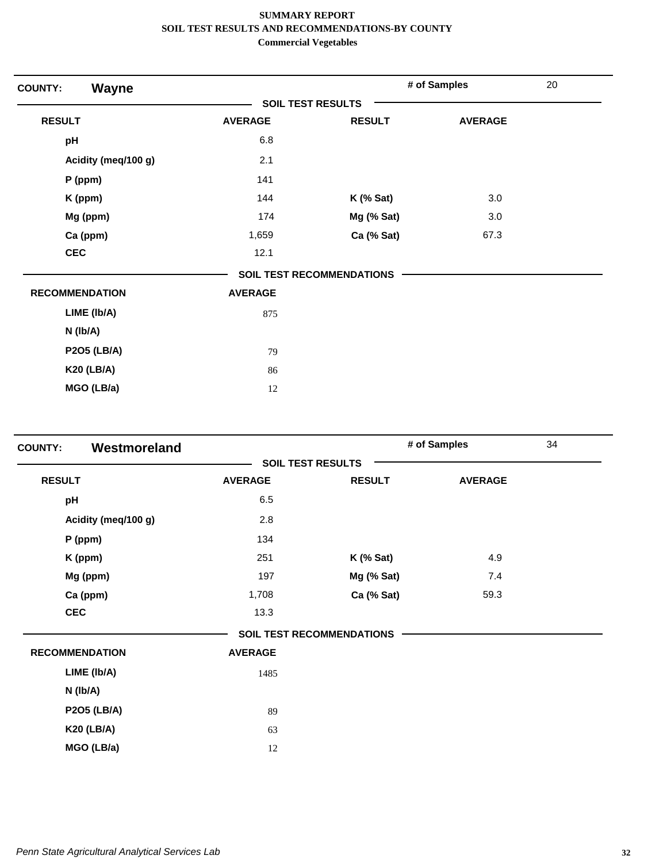| <b>Wayne</b><br><b>COUNTY:</b> |                          |                                  | # of Samples   | 20 |
|--------------------------------|--------------------------|----------------------------------|----------------|----|
|                                | <b>SOIL TEST RESULTS</b> |                                  |                |    |
| <b>RESULT</b>                  | <b>AVERAGE</b>           | <b>RESULT</b>                    | <b>AVERAGE</b> |    |
| pH                             | 6.8                      |                                  |                |    |
| Acidity (meq/100 g)            | 2.1                      |                                  |                |    |
| P (ppm)                        | 141                      |                                  |                |    |
| K (ppm)                        | 144                      | $K$ (% Sat)                      | 3.0            |    |
| Mg (ppm)                       | 174                      | Mg (% Sat)                       | 3.0            |    |
| Ca (ppm)                       | 1,659                    | Ca (% Sat)                       | 67.3           |    |
| <b>CEC</b>                     | 12.1                     |                                  |                |    |
|                                |                          | <b>SOIL TEST RECOMMENDATIONS</b> |                |    |
| <b>RECOMMENDATION</b>          | <b>AVERAGE</b>           |                                  |                |    |
| LIME (Ib/A)                    | 875                      |                                  |                |    |
| $N$ ( $lb/A$ )                 |                          |                                  |                |    |
| <b>P2O5 (LB/A)</b>             | 79                       |                                  |                |    |
| <b>K20 (LB/A)</b>              | 86                       |                                  |                |    |
| MGO (LB/a)                     | 12                       |                                  |                |    |

| <b>COUNTY:</b> | Westmoreland          |                |                                  | # of Samples   | 34 |
|----------------|-----------------------|----------------|----------------------------------|----------------|----|
|                |                       |                | <b>SOIL TEST RESULTS</b>         |                |    |
| <b>RESULT</b>  |                       | <b>AVERAGE</b> | <b>RESULT</b>                    | <b>AVERAGE</b> |    |
| pH             |                       | 6.5            |                                  |                |    |
|                | Acidity (meq/100 g)   | 2.8            |                                  |                |    |
|                | P (ppm)               | 134            |                                  |                |    |
|                | K (ppm)               | 251            | $K$ (% Sat)                      | 4.9            |    |
|                | Mg (ppm)              | 197            | Mg (% Sat)                       | 7.4            |    |
|                | Ca (ppm)              | 1,708          | Ca (% Sat)                       | 59.3           |    |
| <b>CEC</b>     |                       | 13.3           |                                  |                |    |
|                |                       |                | <b>SOIL TEST RECOMMENDATIONS</b> |                |    |
|                | <b>RECOMMENDATION</b> | <b>AVERAGE</b> |                                  |                |    |
|                | LIME (Ib/A)           | 1485           |                                  |                |    |
|                | $N$ ( $lb/A$ )        |                |                                  |                |    |
|                | <b>P2O5 (LB/A)</b>    | 89             |                                  |                |    |
|                | <b>K20 (LB/A)</b>     | 63             |                                  |                |    |
|                | MGO (LB/a)            | 12             |                                  |                |    |
|                |                       |                |                                  |                |    |